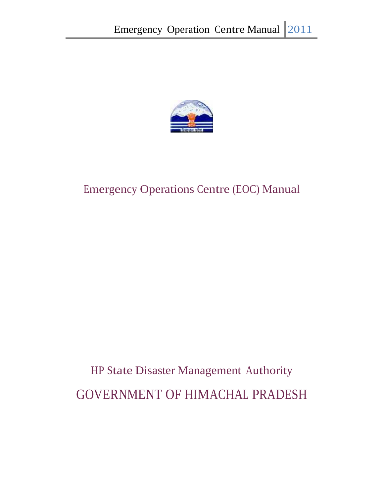

# HP State Disaster Management Authority GOVERNMENT OF HIMACHAL PRADESH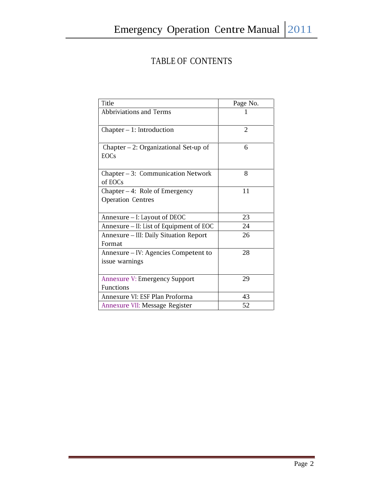## TABLE OF CONTENTS

| Title                                                        | Page No.       |
|--------------------------------------------------------------|----------------|
| Abbriviations and Terms                                      |                |
| $Chapter - 1$ : Introduction                                 | $\overline{2}$ |
| Chapter $-2$ : Organizational Set-up of<br><b>EOCs</b>       | 6              |
| Chapter - 3: Communication Network<br>of EOCs                | 8              |
| Chapter $-4$ : Role of Emergency<br><b>Operation Centres</b> | 11             |
| Annexure - I: Layout of DEOC                                 | 23             |
| Annexure - II: List of Equipment of EOC                      | 24             |
| Annexure - III: Daily Situation Report<br>Format             | 26             |
| Annexure – IV: Agencies Competent to<br>issue warnings       | 28             |
| <b>Annexure V: Emergency Support</b><br><b>Functions</b>     | 29             |
| Annexure VI: ESF Plan Proforma                               | 43             |
| Annexure VII: Message Register                               | 52             |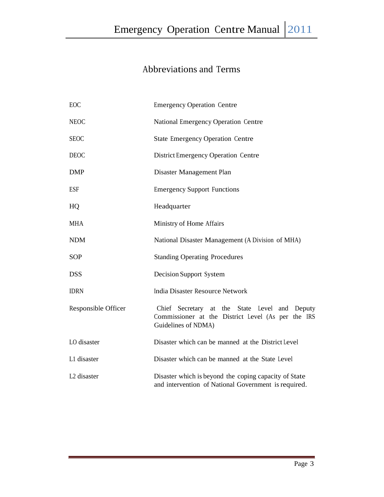## Abbreviations and Terms

| EOC                     | <b>Emergency Operation Centre</b>                                                                                          |
|-------------------------|----------------------------------------------------------------------------------------------------------------------------|
| <b>NEOC</b>             | National Emergency Operation Centre                                                                                        |
| <b>SEOC</b>             | <b>State Emergency Operation Centre</b>                                                                                    |
| <b>DEOC</b>             | District Emergency Operation Centre                                                                                        |
| <b>DMP</b>              | Disaster Management Plan                                                                                                   |
| <b>ESF</b>              | <b>Emergency Support Functions</b>                                                                                         |
| HQ                      | Headquarter                                                                                                                |
| <b>MHA</b>              | Ministry of Home Affairs                                                                                                   |
| <b>NDM</b>              | National Disaster Management (A Division of MHA)                                                                           |
| <b>SOP</b>              | <b>Standing Operating Procedures</b>                                                                                       |
| <b>DSS</b>              | Decision Support System                                                                                                    |
| <b>IDRN</b>             | India Disaster Resource Network                                                                                            |
| Responsible Officer     | Chief Secretary at the State Level and Deputy<br>Commissioner at the District Level (As per the IRS<br>Guidelines of NDMA) |
| LO disaster             | Disaster which can be manned at the District Level                                                                         |
| L1 disaster             | Disaster which can be manned at the State Level                                                                            |
| L <sub>2</sub> disaster | Disaster which is beyond the coping capacity of State<br>and intervention of National Government is required.              |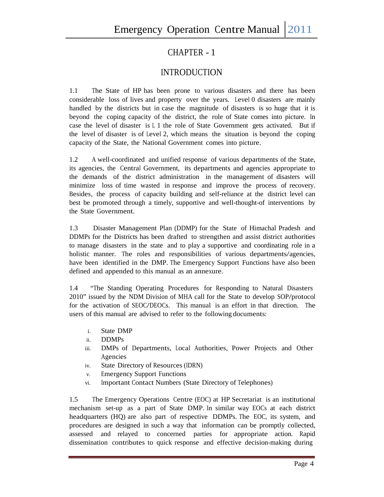## CHAPTER - 1

## INTRODUCTION

1.1 The State of HP has been prone to various disasters and there has been considerable loss of lives and property over the years. Level 0 disasters are mainly handled by the districts but in case the magnitude of disasters is so huge that it is beyond the coping capacity of the district, the role of State comes into picture. In case the level of disaster is <sup>L</sup> 1 the role of State Government gets activated. But if the level of disaster is of Level 2, which means the situation is beyond the coping capacity of the State, the National Government comes into picture.

1.2 <sup>A</sup> well-coordinated and unified response of various departments of the State, its agencies, the Central Government, its departments and agencies appropriate to the demands of the district administration in the management of disasters will minimize loss of time wasted in response and improve the process of recovery. Besides, the process of capacity building and self-reliance at the district level can best be promoted through a timely, supportive and well-thought-of interventions by the State Government.

1.3 Disaster Management Plan (DDMP) for the State of Himachal Pradesh and DDMPs for the Districts has been drafted to strengthen and assist district authorities to manage disasters in the state and to play a supportive and coordinating role in a holistic manner. The roles and responsibilities of various departments/agencies, have been identified in the DMP. The Emergency Support Functions have also been defined and appended to this manual as an annexure.

1.4 "The Standing Operating Procedures for Responding to Natural Disasters 2010" issued by the NDM Division of MHA call for the State to develop SOP/protocol for the activation of SEOC/DEOCs. This manual is an effort in that direction. The users of this manual are advised to refer to the following documents:

- i. State DMP
- ii. DDMPs
- iii. DMPs of Departments, Local Authorities, Power Projects and Other Agencies
- iv. State Directory of Resources (IDRN)
- v. Emergency Support Functions
- vi. Important Contact Numbers (State Directory of Telephones)

1.5 The Emergency Operations Centre (EOC) at HP Secretariat is an institutional mechanism set-up as a part of State DMP. In similar way EOCs at each district headquarters (HQ) are also part of respective DDMPs. The EOC, its system, and procedures are designed in such a way that information can be promptly collected, assessed and relayed to concerned parties for appropriate action. Rapid dissemination contributes to quick response and effective decision-making during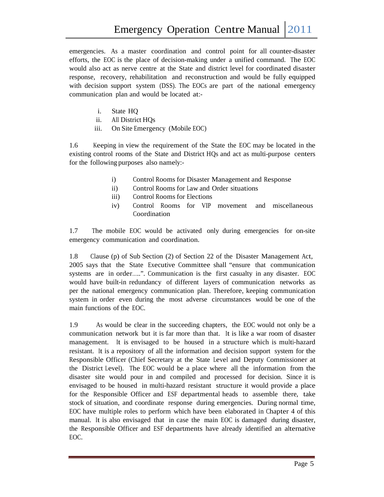emergencies. As a master coordination and control point for all counter-disaster efforts, the EOC is the place of decision-making under a unified command. The EOC would also act as nerve centre at the State and district level for coordinated disaster response, recovery, rehabilitation and reconstruction and would be fully equipped with decision support system (DSS). The EOCs are part of the national emergency communication plan and would be located at:-

- i. State HQ
- ii. All District HQs
- iii. On Site Emergency (Mobile EOC)

1.6 Keeping in view the requirement of the State the EOC may be located in the existing control rooms of the State and District HQs and act as multi-purpose centers for the following purposes also namely:-

- i) Control Rooms for Disaster Management and Response
- ii) Control Rooms for Law and Order situations
- iii) Control Rooms for Elections
- iv) Control Rooms for VIP movement and miscellaneous Coordination

1.7 The mobile EOC would be activated only during emergencies for on-site emergency communication and coordination.

1.8 Clause (p) of Sub Section (2) of Section 22 of the Disaster Management Act, 2005 says that the State Executive Committee shall "ensure that communication systems are in order…..". Communication is the first casualty in any disaster. EOC would have built-in redundancy of different layers of communication networks as per the national emergency communication plan. Therefore, keeping communication system in order even during the most adverse circumstances would be one of the main functions of the EOC.

1.9 As would be clear in the succeeding chapters, the EOC would notonly be a communication network but it is far more than that. It is like a war room of disaster management. It is envisaged to be housed in a structure which is multi-hazard resistant. It is a repository of all the information and decision support system for the Responsible Officer (Chief Secretary at the State Level and Deputy Commissioner at the District Level). The EOC would be a place where all the information from the disaster site would pour in and compiled and processed for decision. Since it is envisaged to be housed in multi-hazard resistant structure it would provide a place for the Responsible Officer and ESF departmental heads to assemble there, take stock of situation, and coordinate response during emergencies. During normal time, EOC have multiple roles to perform which have been elaborated in Chapter 4 ofthis manual. It is also envisaged that in case the main EOC is damaged during disaster, the Responsible Officer and ESF departments have already identified an alternative EOC.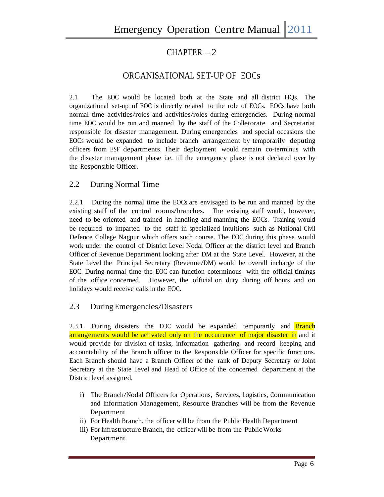## $CHAPTER-2$

## ORGANISATIONAL SET-UP OF EOCs

2.1 The EOC would be located both at the State and all district HQs. The organizational set-up of EOC is directly related to the role of EOCs. EOCs have both normal time activities/roles and activities/roles during emergencies. During normal time EOC would be run and manned by the staff of the Colletorate and Secretariat responsible for disaster management. During emergencies and special occasions the EOCs would be expanded to include branch arrangement by temporarily deputing officers from ESF departments. Their deployment would remain co-terminus with the disaster management phase i.e. till the emergency phase is not declared over by the Responsible Officer.

### 2.2 During Normal Time

2.2.1 During the normal time the EOCs are envisaged to be run and manned by the existing staff of the control rooms/branches. The existing staff would, however, need to be oriented and trained in handling and manning the EOCs. Training would be required to imparted to the staff in specialized intuitions such as National Civil Defence College Nagpur which offers such course. The EOC during this phase would work under the control of District Level Nodal Officer at the district level and Branch Officer of Revenue Department looking after DM at the State Level. However, at the State Level the Principal Secretary (Revenue/DM) would be overall incharge of the EOC. During normal time the EOC can function coterminous with the official timings of the office concerned. However, the official on duty during off hours and on holidays would receive callsin the EOC.

### 2.3 During Emergencies/Disasters

2.3.1 During disasters the EOC would be expanded temporarily and **Branch** arrangements would be activated only on the occurrence of major disaster in and it would provide for division of tasks, information gathering and record keeping and accountability of the Branch officer to the Responsible Officer for specific functions. Each Branch should have a Branch Officer of the rank of Deputy Secretary or Joint Secretary at the State Level and Head of Office of the concerned department at the District level assigned.

- i) The Branch/Nodal Officers for Operations, Services, Logistics, Communication and Information Management, Resource Branches will be from the Revenue Department
- ii) For Health Branch, the officer will be from the Public Health Department
- iii) For Infrastructure Branch, the officer will be from the Public Works Department.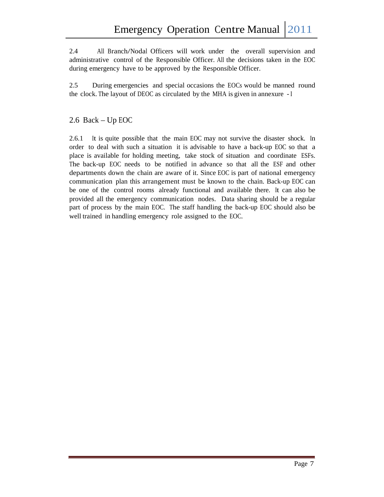2.4 All Branch/Nodal Officers will work under the overall supervision and administrative control of the Responsible Officer. All the decisions taken in the EOC during emergency have to be approved by the Responsible Officer.

2.5 During emergencies and special occasions the EOCs would be manned round the clock. The layout of DEOC as circulated by the MHA is given in annexure -I

### 2.6 Back – Up EOC

2.6.1 It is quite possible that the main EOC may not survive the disaster shock. In order to deal with such a situation it is advisable to have a back-up EOC so that a place is available for holding meeting, take stock of situation and coordinate ESFs. The back-up EOC needs to be notified in advance so that all the ESF and other departments down the chain are aware of it. Since EOC is part of national emergency communication plan this arrangement must be known to the chain. Back-up EOC can be one of the control rooms already functional and available there. It can also be provided all the emergency communication nodes. Data sharing should be a regular part of process by the main EOC. The staff handling the back-up EOC should also be well trained in handling emergency role assigned to the EOC.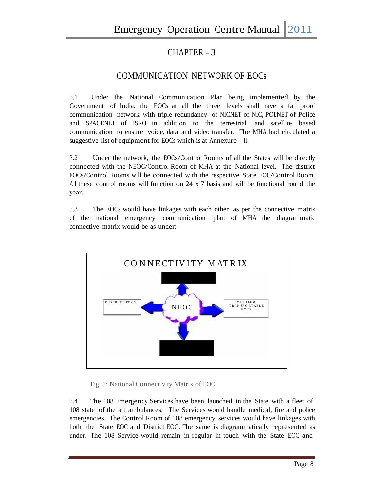## CHAPTER - 3

## COMMUNICATION NETWORK OF EOCs

3.1 Under the National Communication Plan being implemented by the Government of India, the EOCs at all the three levels shall have a fail proof communication network with triple redundancy of NICNET of NIC, POLNET of Police and SPACENET of ISRO in addition to the terrestrial and satellite based communication to ensure voice, data and video transfer. The MHA had circulated a suggestive list of equipment for EOCs which is at Annexure – II.

3.2 Under the network, the EOCs/Control Rooms of all the States will be directly connected with the NEOC/Control Room of MHA at the National level. The district EOCs/Control Rooms will be connected with the respective State EOC/Control Room. All these control rooms will function on 24 x 7 basis and will be functional round the year.

3.3 The EOCs would have linkages with each other as per the connective matrix of the national emergency communication plan of MHA the diagrammatic connective matrix would be as under:-



Fig. 1: National Connectivity Matrix of EOC

3.4 The 108 Emergency Services have been launched in the State with a fleet of 108 state of the art ambulances. The Services would handle medical, fire and police emergencies. The Control Room of 108 emergency services would have linkages with both the State EOC and District EOC. The same is diagrammatically represented as under. The 108 Service would remain in regular in touch with the State EOC and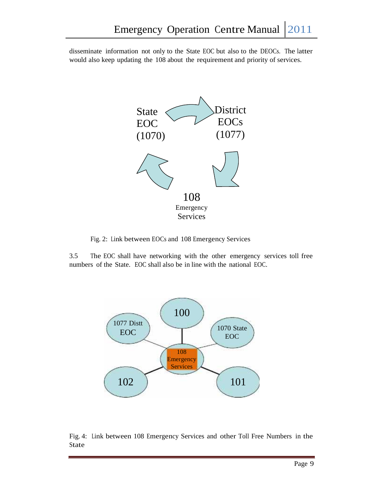disseminate information not only to the State EOC but also to the DEOCs. The latter would also keep updating the 108 about the requirement and priority of services.



Fig. 2: Link between EOCs and 108 Emergency Services

3.5 The EOC shall have networking with the other emergency services toll free numbers of the State. EOC shall also be in line with the national EOC.



Fig. 4: Link between 108 Emergency Services and other Toll Free Numbers in the State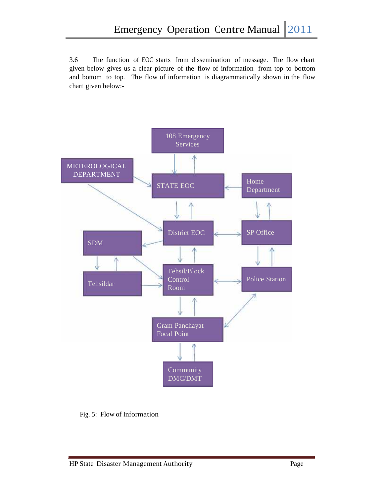3.6 The function of EOC starts from dissemination of message. The flow chart given below gives us a clear picture of the flow of information from top to bottom and bottom to top. The flow of information is diagrammatically shown in the flow chart given below:-



Fig. 5: Flow of Information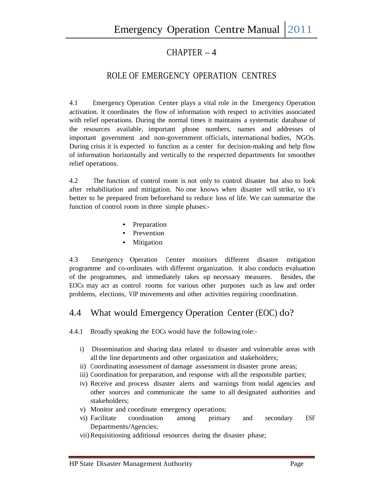## $CHAPTER - 4$

## ROLE OF EMERGENCY OPERATION CENTRES

4.1 Emergency Operation Center plays a vital role in the Emergency Operation activation. It coordinates the flow of information with respect to activities associated with relief operations. During the normal times it maintains a systematic database of the resources available, important phone numbers, names and addresses of important government and non-government officials, international bodies, NGOs. During crisis it is expected to function as a center for decision-making and help flow of information horizontally and vertically to the respected departments for smoother relief operations.

4.2 The function of control room is not only to control disaster but also to look after rehabilitation and mitigation. No one knows when disaster will strike, so it's better to be prepared from beforehand to reduce loss of life. We can summarize the function of control room in three simple phases:-

- Preparation
- Prevention
- Mitigation

4.3 Emergency Operation Center monitors different disaster mitigation programme and co-ordinates with different organization. It also conducts evaluation of the programmes, and immediately takes up necessary measures. Besides, the EOCs may act as control rooms for various other purposes such as law and order problems, elections, VIP movements and other activities requiring coordination.

## 4.4 What would Emergency Operation Center (EOC) do?

4.4.1 Broadly speaking the EOCs would have the following role:-

- i) Dissemination and sharing data related to disaster and vulnerable areas with all the line departments and other organization and stakeholders;
- ii) Coordinating assessment of damage assessment in disaster prone areas;
- iii) Coordination for preparation, and response with all the responsible parties;
- iv) Receive and process disaster alerts and warnings from nodal agencies and other sources and communicate the same to all designated authorities and stakeholders;
- v) Monitor and coordinate emergency operations;
- vi) Facilitate coordination among primary and secondary ESF Departments/Agencies;
- vii) Requisitioning additional resources during the disaster phase;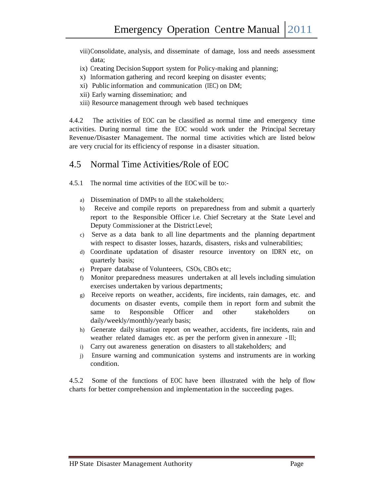- viii)Consolidate, analysis, and disseminate of damage, loss and needs assessment data;
- ix) Creating Decision Support system for Policy-making and planning;
- x) Information gathering and record keeping on disaster events;
- xi) Public information and communication (IEC) on DM;
- xii) Early warning dissemination; and
- xiii) Resource management through web based techniques

4.4.2 The activities of EOC can be classified as normal time and emergency time activities. During normal time the EOC would work under the Principal Secretary Revenue/Disaster Management. The normal time activities which are listed below are very crucial for its efficiency of response in a disaster situation.

### 4.5 Normal Time Activities/Role of EOC

- 4.5.1 The normal time activities of the EOC will be to:
	- a) Dissemination of DMPs to all the stakeholders;
	- b) Receive and compile reports on preparedness from and submit a quarterly report to the Responsible Officer i.e. Chief Secretary at the State Level and Deputy Commissioner at the District Level;
	- c) Serve as a data bank to all line departments and the planning department with respect to disaster losses, hazards, disasters, risks and vulnerabilities;
	- d) Coordinate updatation of disaster resource inventory on IDRN etc, on quarterly basis;
	- e) Prepare database of Volunteers, CSOs, CBOs etc;
	- f) Monitor preparedness measures undertaken at all levels including simulation exercises undertaken by various departments;
	- g) Receive reports on weather, accidents, fire incidents, rain damages, etc. and documents on disaster events, compile them in report form and submit the same to Responsible Officer and other stakeholders on daily/weekly/monthly/yearly basis;
	- h) Generate daily situation report on weather, accidents, fire incidents, rain and weather related damages etc. as per the perform given in annexure - III;
	- i) Carry out awareness generation on disasters to all stakeholders; and
	- j) Ensure warning and communication systems and instruments are in working condition.

4.5.2 Some of the functions of EOC have been illustrated with the help of flow charts for better comprehension and implementation in the succeeding pages.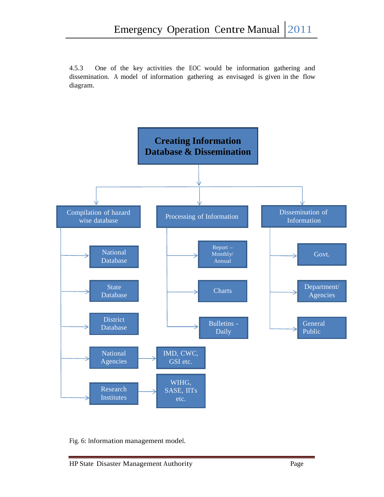4.5.3 One of the key activities the EOC would be information gathering and dissemination. A model of information gathering as envisaged is given in the flow diagram.



Fig. 6: Information management model.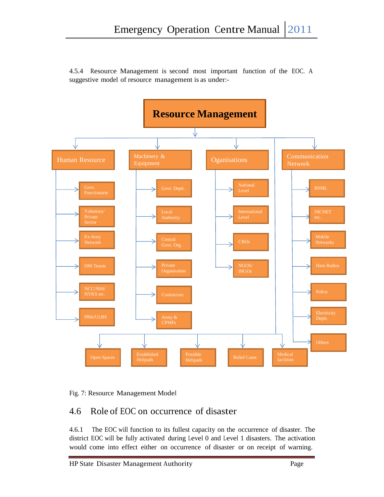

4.5.4 Resource Management is second most important function of the EOC. A suggestive model of resource management is as under:-



## 4.6 Role of EOC on occurrence of disaster

4.6.1 The EOC will function to its fullest capacity on the occurrence of disaster. The district EOC will be fully activated during Level 0 and Level 1 disasters. The activation would come into effect either on occurrence of disaster or on receipt of warning.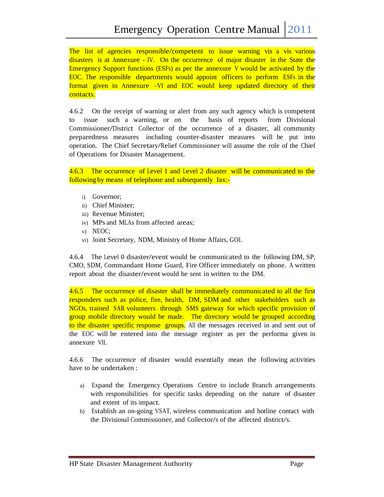The list of agencies responsible/competent to issue warning vis a vis various disasters is at Annexure -IV. On the occurrence of major disaster in the State the Emergency Support functions (ESFs) as per the annexure <sup>V</sup> would be activated by the EOC. The responsible departments would appoint officers to perform ESFs in the format given in Annexure –VI and EOC would keep updated directory of their contacts.

4.6.2 On the receipt of warning oralert from any such agency which is competent to issue such a warning, or on the basis of reports from Divisional Commissioner/District Collector of the occurrence of a disaster, all community preparedness measures including counter-disaster measures will be put into operation. The Chief Secretary/Relief Commissioner will assume the role of the Chief of Operations for Disaster Management.

4.6.3 The occurrence of Level 1 and Level 2 disaster will be communicated to the following by means of telephone and subsequently fax:-

- i) Governor;
- ii) Chief Minister;
- iii) Revenue Minister;
- iv) MPs and MLAs from affected areas;
- v) NEOC;
- vi) Joint Secretary, NDM, Ministry of Home Affairs, GOI.

4.6.4 The Level 0 disaster/event would be communicated to the following DM, SP, CMO, SDM, Commandant Home Guard, Fire Officer immediately on phone. <sup>A</sup> written report about the disaster/event would be sent in written to the DM.

4.6.5 The occurrence of disaster shall be immediately communicated to all the first responders such as police, fire, health, DM, SDM and other stakeholders such as NGOs, trained SAR volunteers through SMS gateway for which specific provision of group mobile directory would be made. The directory would be grouped according to the disaster specific response groups. All the messages received in and sent out of the EOC will be entered into the message register as per the performa given in annexure VII.

4.6.6 The occurrence of disaster would essentially mean the following activities have to be undertaken :

- a) Expand the Emergency Operations Centre to include Branch arrangements with responsibilities for specific tasks depending on the nature of disaster and extent of its impact.
- b) Establish an on-going VSAT, wireless communication and hotline contact with the Divisional Commissioner, and Collector/s of the affected district/s.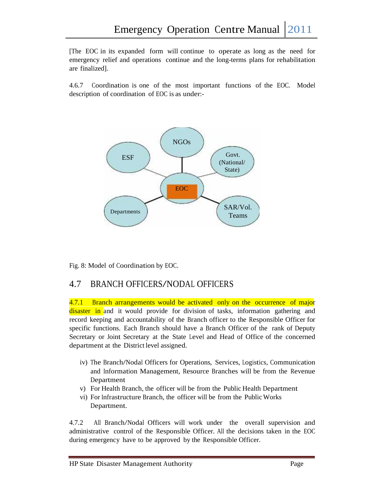[The EOC in its expanded form will continue to operate as long as the need for emergency relief and operations continue and the long-terms plans for rehabilitation are finalized].

4.6.7 Coordination is one of the most important functions of the EOC. Model description of coordination of EOC is as under:-



Fig. 8: Model of Coordination by EOC.

### 4.7 BRANCH OFFICERS/NODAL OFFICERS

4.7.1 Branch arrangements would be activated only on the occurrence of major disaster in and it would provide for division of tasks, information gathering and record keeping and accountability of the Branch officer to the Responsible Officer for specific functions. Each Branch should have a Branch Officer of the rank of Deputy Secretary or Joint Secretary at the State Level and Head of Office of the concerned department at the District level assigned.

- iv) The Branch/Nodal Officers for Operations, Services, Logistics, Communication and Information Management, Resource Branches will be from the Revenue Department
- v) For Health Branch, the officer will be from the Public Health Department
- vi) For Infrastructure Branch, the officer will be from the Public Works Department.

4.7.2 All Branch/Nodal Officers will work under the overall supervision and administrative control of the Responsible Officer. All the decisions taken in the EOC during emergency have to be approved by the Responsible Officer.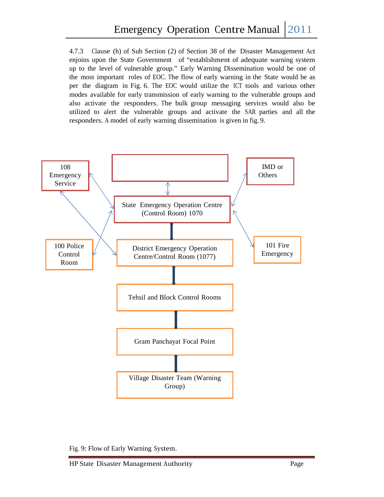4.7.3 Clause (h) of Sub Section (2) of Section 38 of the Disaster Management Act enjoins upon the State Government of "establishment of adequate warning system up to the level of vulnerable group." Early Warning Dissemination would be one of the most important roles of EOC. The flow of early warning in the State would be as per the diagram in Fig. 6. The EOC would utilize the ICT tools and various other modes available for early transmission of early warning to the vulnerable groups and also activate the responders. The bulk group messaging services would also be utilized to alert the vulnerable groups and activate the SAR parties and allthe responders. A model of early warning dissemination is given in fig. 9.



Fig. 9: Flow of Early Warning System.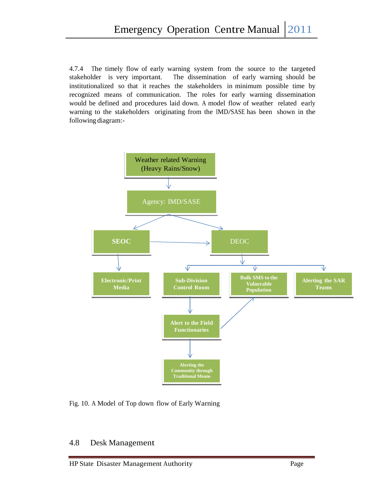4.7.4 The timely flow of early warning system from the source to the targeted stakeholder is very important. The dissemination of early warning should be institutionalized so that it reaches the stakeholders in minimum possible time by recognized means of communication. The roles for early warning dissemination would be defined and procedures laid down. A model flow of weather related early warning to the stakeholders originating from the IMD/SASE has been shown in the following diagram:-



Fig. 10. A Model of Top down flow of Early Warning

### 4.8 Desk Management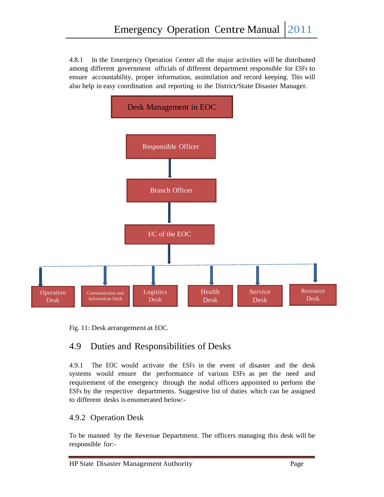4.8.1 In the Emergency Operation Center all the major activities will be distributed among different government officials of different department responsible for ESFs to ensure accountability, proper information, assimilation and record keeping. This will also help in easy coordination and reporting to the District/State Disaster Manager.



Fig. 11: Desk arrangement at EOC.

## 4.9 Duties and Responsibilities of Desks

4.9.1 The EOC would activate the ESFs in the event of disaster and the desk systems would ensure the performance of various ESFs as per the need and requirement of the emergency through the nodal officers appointed to perform the ESFs by the respective departments. Suggestive list of duties which can be assigned to different desks is enumerated below:-

### 4.9.2 Operation Desk

To be manned by the Revenue Department. The officers managing this desk will be responsible for:-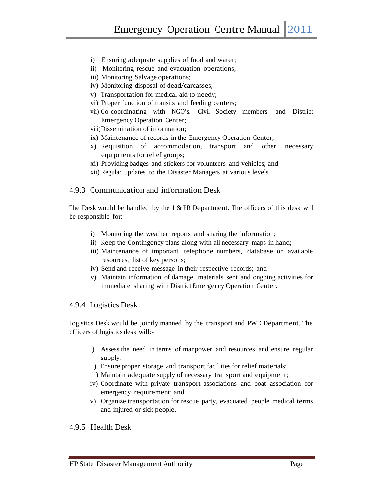- i) Ensuring adequate supplies of food and water;
- ii) Monitoring rescue and evacuation operations;
- iii) Monitoring Salvage operations;
- iv) Monitoring disposal of dead/carcasses;
- v) Transportation for medical aid to needy;
- vi) Proper function of transits and feeding centers;
- vii) Co-coordinating with NGO's. Civil Society members and District Emergency Operation Center;

viii)Dissemination of information;

- ix) Maintenance of records in the Emergency Operation Center;
- x) Requisition of accommodation, transport and other necessary equipments for relief groups;
- xi) Providing badges and stickers for volunteers and vehicles; and
- xii) Regular updates to the Disaster Managers at various levels.

#### 4.9.3 Communication and information Desk

The Desk would be handled by the I& PR Department. The officers of this desk will be responsible for:

- i) Monitoring the weather reports and sharing the information;
- ii) Keep the Contingency plans along with all necessary maps in hand;
- iii) Maintenance of important telephone numbers, database on available resources, list of key persons;
- iv) Send and receive message in their respective records; and
- v) Maintain information of damage, materials sent and ongoing activities for immediate sharing with District Emergency Operation Center.

#### 4.9.4 Logistics Desk

Logistics Desk would be jointly manned by the transport and PWD Department. The officers of logistics desk will:-

- i) Assess the need in terms of manpower and resources and ensure regular supply;
- ii) Ensure proper storage and transport facilities for relief materials;
- iii) Maintain adequate supply of necessary transport and equipment;
- iv) Coordinate with private transport associations and boat association for emergency requirement; and
- v) Organize transportation for rescue party, evacuated people medical terms and injured or sick people.

4.9.5 Health Desk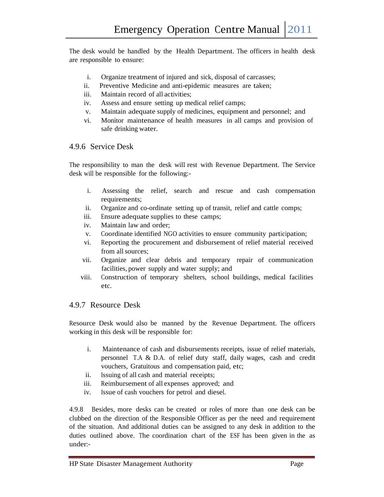The desk would be handled by the Health Department. The officers in health desk are responsible to ensure:

- i. Organize treatment of injured and sick, disposal of carcasses;
- ii. Preventive Medicine and anti-epidemic measures are taken;
- iii. Maintain record of all activities;
- iv. Assess and ensure setting up medical relief camps;
- v. Maintain adequate supply of medicines, equipment and personnel; and
- vi. Monitor maintenance of health measures in all camps and provision of safe drinking water.

#### 4.9.6 Service Desk

The responsibility to man the desk will rest with Revenue Department. The Service desk will be responsible for the following:-

- i. Assessing the relief, search and rescue and cash compensation requirements;
- ii. Organize and co-ordinate setting up of transit, relief and cattle comps;
- iii. Ensure adequate supplies to these camps;
- iv. Maintain law and order;
- v. Coordinate identified NGO activities to ensure community participation;
- vi. Reporting the procurement and disbursement of relief material received from allsources;
- vii. Organize and clear debris and temporary repair of communication facilities, power supply and water supply; and
- viii. Construction of temporary shelters, school buildings, medical facilities etc.

#### 4.9.7 Resource Desk

Resource Desk would also be manned by the Revenue Department. The officers working in this desk will be responsible for:

- i. Maintenance of cash and disbursements receipts, issue of relief materials, personnel T.A & D.A. of relief duty staff, daily wages, cash and credit vouchers, Gratuitous and compensation paid, etc;
- ii. Issuing of all cash and material receipts;
- iii. Reimbursement of all expenses approved; and
- iv. Issue of cash vouchers for petrol and diesel.

4.9.8 Besides, more desks can be created or roles of more than one desk can be clubbed on the direction of the Responsible Officer as per the need and requirement of the situation. And additional duties can be assigned to any desk in addition to the duties outlined above. The coordination chart of the ESF has been given in the as under:-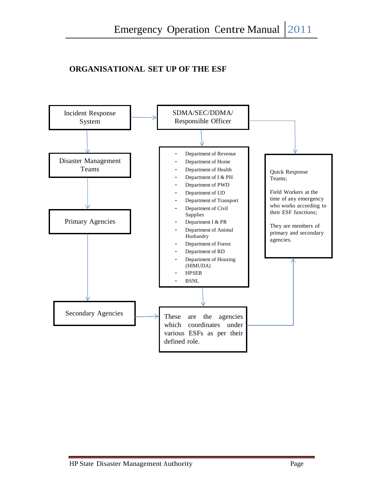## **ORGANISATIONAL SET UP OF THE ESF**

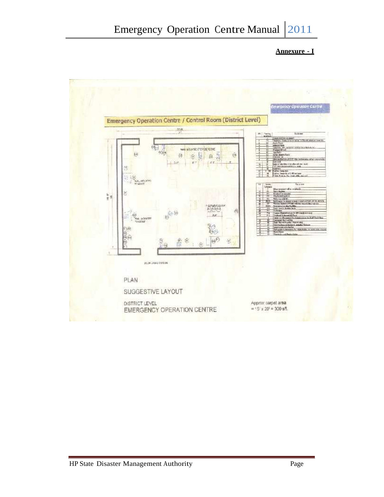#### **Annexure - I**

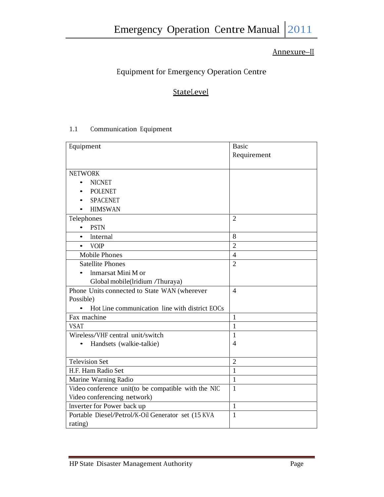## Annexure–II

## Equipment for Emergency Operation Centre

## **StateLevel**

## 1.1 Communication Equipment

| Equipment                                           | <b>Basic</b>   |  |
|-----------------------------------------------------|----------------|--|
|                                                     | Requirement    |  |
|                                                     |                |  |
| <b>NETWORK</b>                                      |                |  |
| <b>NICNET</b>                                       |                |  |
| <b>POLENET</b>                                      |                |  |
| <b>SPACENET</b>                                     |                |  |
| <b>HIMSWAN</b>                                      |                |  |
| Telephones                                          | $\overline{2}$ |  |
| <b>PSTN</b><br>$\bullet$                            |                |  |
| Internal<br>$\bullet$                               | 8              |  |
| <b>VOIP</b><br>$\bullet$                            | $\overline{2}$ |  |
| <b>Mobile Phones</b>                                | $\overline{4}$ |  |
| <b>Satellite Phones</b>                             | $\overline{2}$ |  |
| Inmarsat Mini M or                                  |                |  |
| Global mobile(lridium /Thuraya)                     |                |  |
| Phone Units connected to State WAN (wherever        | $\overline{4}$ |  |
| Possible)                                           |                |  |
| Hot Line communication line with district EOCs      |                |  |
| Fax machine                                         | $\mathbf{1}$   |  |
| <b>VSAT</b>                                         | $\mathbf{1}$   |  |
| Wireless/VHF central unit/switch                    | 1              |  |
| Handsets (walkie-talkie)                            | $\overline{4}$ |  |
|                                                     |                |  |
| <b>Television Set</b>                               | $\overline{2}$ |  |
| H.F. Ham Radio Set                                  | $\mathbf{1}$   |  |
| Marine Warning Radio                                | $\mathbf{1}$   |  |
| Video conference unit(to be compatible with the NIC | $\mathbf{1}$   |  |
| Video conferencing network)                         |                |  |
| Inverter for Power back up                          | $\mathbf{1}$   |  |
| Portable Diesel/Petrol/K-Oil Generator set (15 KVA  | $\mathbf{1}$   |  |
| rating)                                             |                |  |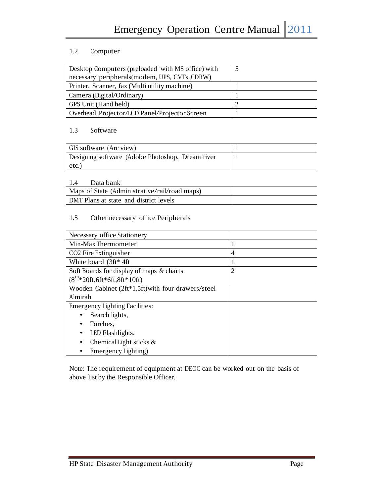#### 1.2 Computer

| Desktop Computers (preloaded with MS office) with |  |
|---------------------------------------------------|--|
| necessary peripherals (modem, UPS, CVTs, CDRW)    |  |
| Printer, Scanner, fax (Multi utility machine)     |  |
| Camera (Digital/Ordinary)                         |  |
| GPS Unit (Hand held)                              |  |
| Overhead Projector/LCD Panel/Projector Screen     |  |

#### 1.3 Software

| GIS software (Arc view)                          |  |
|--------------------------------------------------|--|
| Designing software (Adobe Photoshop, Dream river |  |
| etc.                                             |  |

#### 1.4 Data bank

| Maps of State (Administrative/rail/road maps) |  |
|-----------------------------------------------|--|
| DMT Plans at state and district levels        |  |

### 1.5 Other necessary office Peripherals

| Necessary office Stationery                        |                |
|----------------------------------------------------|----------------|
| Min-Max Thermometer                                |                |
| CO <sub>2</sub> Fire Extinguisher                  | $\overline{4}$ |
| White board (3ft* 4ft)                             |                |
| Soft Boards for display of maps & charts           | 2              |
| $(8^{th}*20ft, 6ft*6ft, 8ft*10ft)$                 |                |
| Wooden Cabinet (2ft*1.5ft) with four drawers/steel |                |
| Almirah                                            |                |
| <b>Emergency Lighting Facilities:</b>              |                |
| Search lights,                                     |                |
| Torches,                                           |                |
| LED Flashlights,                                   |                |
| Chemical Light sticks &                            |                |
| Emergency Lighting)                                |                |

Note: The requirement of equipment at DEOC can be worked out on the basis of above list by the Responsible Officer.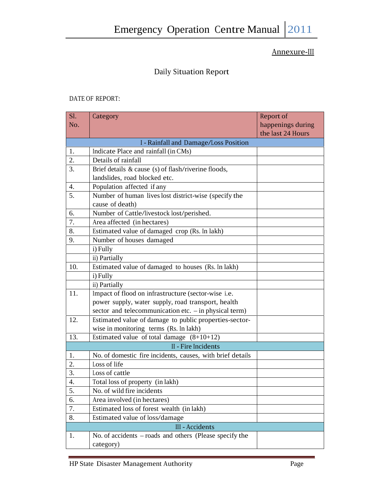## Annexure-III

## Daily Situation Report

#### DATE OF REPORT:

| SI. | Category                                                   | Report of                              |  |  |  |  |  |  |  |
|-----|------------------------------------------------------------|----------------------------------------|--|--|--|--|--|--|--|
| No. |                                                            | happenings during<br>the last 24 Hours |  |  |  |  |  |  |  |
|     | I - Rainfall and Damage/Loss Position                      |                                        |  |  |  |  |  |  |  |
| 1.  | Indicate Place and rainfall (in CMs)                       |                                        |  |  |  |  |  |  |  |
| 2.  | Details of rainfall                                        |                                        |  |  |  |  |  |  |  |
| 3.  | Brief details & cause (s) of flash/riverine floods,        |                                        |  |  |  |  |  |  |  |
|     | landslides, road blocked etc.                              |                                        |  |  |  |  |  |  |  |
| 4.  | Population affected if any                                 |                                        |  |  |  |  |  |  |  |
| 5.  | Number of human lives lost district-wise (specify the      |                                        |  |  |  |  |  |  |  |
|     | cause of death)                                            |                                        |  |  |  |  |  |  |  |
| 6.  | Number of Cattle/livestock lost/perished.                  |                                        |  |  |  |  |  |  |  |
| 7.  | Area affected (in hectares)                                |                                        |  |  |  |  |  |  |  |
| 8.  | Estimated value of damaged crop (Rs. In lakh)              |                                        |  |  |  |  |  |  |  |
| 9.  | Number of houses damaged                                   |                                        |  |  |  |  |  |  |  |
|     | i) Fully                                                   |                                        |  |  |  |  |  |  |  |
|     | ii) Partially                                              |                                        |  |  |  |  |  |  |  |
| 10. | Estimated value of damaged to houses (Rs. In lakh)         |                                        |  |  |  |  |  |  |  |
|     | i) Fully                                                   |                                        |  |  |  |  |  |  |  |
|     | ii) Partially                                              |                                        |  |  |  |  |  |  |  |
| 11. | Impact of flood on infrastructure (sector-wise i.e.        |                                        |  |  |  |  |  |  |  |
|     | power supply, water supply, road transport, health         |                                        |  |  |  |  |  |  |  |
|     | sector and telecommunication etc. $-$ in physical term)    |                                        |  |  |  |  |  |  |  |
| 12. | Estimated value of damage to public properties-sector-     |                                        |  |  |  |  |  |  |  |
|     | wise in monitoring terms (Rs. In lakh)                     |                                        |  |  |  |  |  |  |  |
| 13. | Estimated value of total damage $(8+10+12)$                |                                        |  |  |  |  |  |  |  |
|     | II - Fire Incidents                                        |                                        |  |  |  |  |  |  |  |
| 1.  | No. of domestic fire incidents, causes, with brief details |                                        |  |  |  |  |  |  |  |
| 2.  | Loss of life                                               |                                        |  |  |  |  |  |  |  |
| 3.  | Loss of cattle                                             |                                        |  |  |  |  |  |  |  |
| 4.  | Total loss of property (in lakh)                           |                                        |  |  |  |  |  |  |  |
| 5.  | No. of wild fire incidents                                 |                                        |  |  |  |  |  |  |  |
| 6.  | Area involved (in hectares)                                |                                        |  |  |  |  |  |  |  |
| 7.  | Estimated loss of forest wealth (in lakh)                  |                                        |  |  |  |  |  |  |  |
| 8.  | Estimated value of loss/damage                             |                                        |  |  |  |  |  |  |  |
|     | <b>III</b> - Accidents                                     |                                        |  |  |  |  |  |  |  |
| 1.  | No. of accidents – roads and others (Please specify the    |                                        |  |  |  |  |  |  |  |
|     | category)                                                  |                                        |  |  |  |  |  |  |  |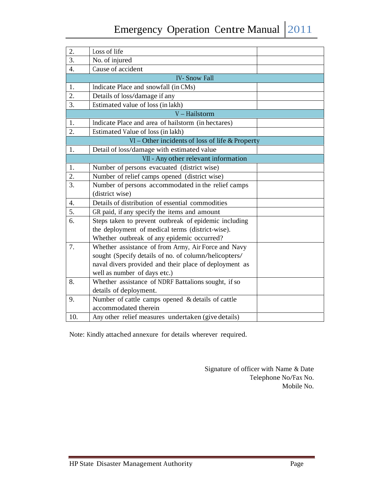| 2.  | Loss of life                                           |
|-----|--------------------------------------------------------|
| 3.  | No. of injured                                         |
| 4.  | Cause of accident                                      |
|     | <b>IV-Snow Fall</b>                                    |
| 1.  | Indicate Place and snowfall (in CMs)                   |
| 2.  | Details of loss/damage if any                          |
| 3.  | Estimated value of loss (in lakh)                      |
|     | V-Hailstorm                                            |
| 1.  | Indicate Place and area of hailstorm (in hectares)     |
| 2.  | Estimated Value of loss (in lakh)                      |
|     | $VI$ – Other incidents of loss of life & Property      |
| 1.  | Detail of loss/damage with estimated value             |
|     | VII - Any other relevant information                   |
| 1.  | Number of persons evacuated (district wise)            |
| 2.  | Number of relief camps opened (district wise)          |
| 3.  | Number of persons accommodated in the relief camps     |
|     | (district wise)                                        |
| 4.  | Details of distribution of essential commodities       |
| 5.  | GR paid, if any specify the items and amount           |
| 6.  | Steps taken to prevent outbreak of epidemic including  |
|     | the deployment of medical terms (district-wise).       |
|     | Whether outbreak of any epidemic occurred?             |
| 7.  | Whether assistance of from Army, Air Force and Navy    |
|     | sought (Specify details of no. of column/helicopters/  |
|     | naval divers provided and their place of deployment as |
|     | well as number of days etc.)                           |
| 8.  | Whether assistance of NDRF Battalions sought, if so    |
|     | details of deployment.                                 |
| 9.  | Number of cattle camps opened & details of cattle      |
|     | accommodated therein                                   |
| 10. | Any other relief measures undertaken (give details)    |

Note: Kindly attached annexure for details wherever required.

Signature of officer with Name & Date Telephone No/Fax No. Mobile No.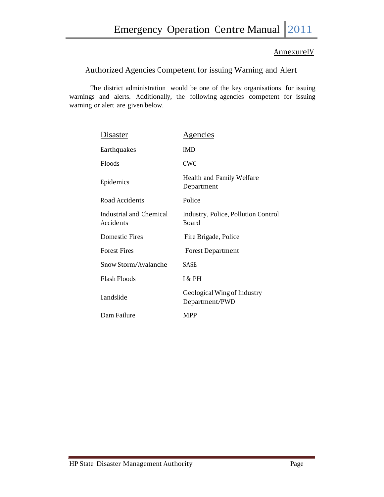### AnnexureIV

## Authorized Agencies Competent for issuing Warning and Alert

The district administration would be one of the key organisations for issuing warnings and alerts. Additionally, the following agencies competent for issuing warning or alert are given below.

| <u>Disaster</u>                      | <u>Agencies</u>                               |
|--------------------------------------|-----------------------------------------------|
| Earthquakes                          | <b>IMD</b>                                    |
| Floods                               | <b>CWC</b>                                    |
| Epidemics                            | Health and Family Welfare<br>Department       |
| Road Accidents                       | Police                                        |
| Industrial and Chemical<br>Accidents | Industry, Police, Pollution Control<br>Board  |
| <b>Domestic Fires</b>                | Fire Brigade, Police                          |
| <b>Forest Fires</b>                  | <b>Forest Department</b>                      |
| Snow Storm/Avalanche                 | <b>SASE</b>                                   |
| <b>Flash Floods</b>                  | I & PH                                        |
| Landslide                            | Geological Wing of Industry<br>Department/PWD |
| Dam Failure                          | <b>MPP</b>                                    |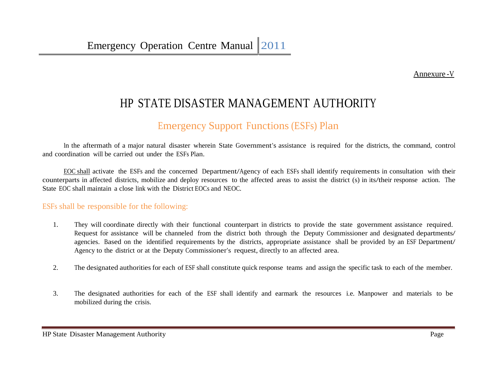Annexure -V

## HP STATE DISASTER MANAGEMENT AUTHORITY

## Emergency Support Functions (ESFs) Plan

In the aftermath of a major natural disaster wherein State Government's assistance is required for the districts, the command, control and coordination will be carried out under the ESFs Plan.

EOC shall activate the ESFs and the concerned Department/Agency of each ESFs shall identify requirements in consultation with their counterparts in affected districts, mobilize and deploy resources to the affected areas to assist the district (s) in its/their response action. The State EOC shall maintain a close link with the District EOCs and NEOC.

### ESFs shall be responsible for the following:

- 1. They will coordinate directly with their functional counterpart in districts to provide the state government assistance required. Request for assistance will be channeled from the district both through the Deputy Commissioner and designated departments/ agencies. Based on the identified requirements by the districts, appropriate assistance shall be provided by an ESF Department/ Agency to the district or at the Deputy Commissioner's request, directly to an affected area.
- 2. The designated authorities for each of ESF shall constitute quick response teams and assign the specific task to each of the member.
- 3. The designated authorities for each of the ESF shall identify and earmark the resources i.e. Manpower and materials to be mobilized during the crisis.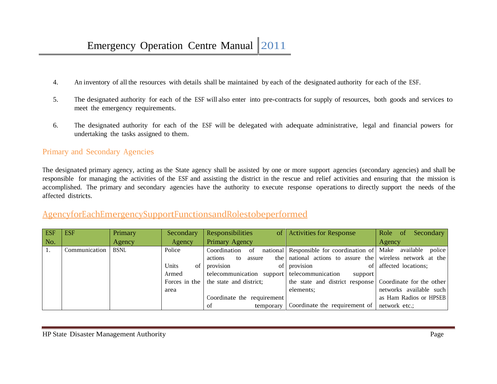- 4. An inventory of all the resources with details shall be maintained by each of the designated authority for each of the ESF.
- 5. The designated authority for each of the ESF will also enter into pre-contracts for supply of resources, both goods and services to meet the emergency requirements.
- 6. The designated authority for each of the ESF will be delegated with adequate administrative, legal and financial powers for undertaking the tasks assigned to them.

### Primary and Secondary Agencies

The designated primary agency, acting as the State agency shall be assisted by one or more support agencies (secondary agencies) and shall be responsible for managing the activities of the ESF and assisting the district in the rescue and relief activities and ensuring that the mission is accomplished. The primary and secondary agencies have the authority to execute response operations to directly support the needs of the affected districts.

## AgencyforEachEmergencySupportFunctionsandRolestobeperformed

| <b>ESF</b> | <b>ESF</b>    | Primary     | Secondary     | Responsibilities                            | of Activities for Response                                     | Role of<br>Secondary    |
|------------|---------------|-------------|---------------|---------------------------------------------|----------------------------------------------------------------|-------------------------|
| No.        |               | Agency      | Agency        | Primary Agency                              |                                                                | Agency                  |
|            | Communication | <b>BSNL</b> | Police        | Coordination<br>- of                        | national Responsible for coordination of Make available police |                         |
|            |               |             |               | actions<br>to<br>assure                     | the national actions to assure the wireless network at the     |                         |
|            |               |             | Units<br>of   | provision                                   | of provision                                                   | of affected locations;  |
|            |               |             | Armed         | telecommunication support telecommunication | support                                                        |                         |
|            |               |             | Forces in the | the state and district;                     | the state and district response Coordinate for the other       |                         |
|            |               |             | area          |                                             | elements:                                                      | networks available such |
|            |               |             |               | Coordinate the requirement                  |                                                                | as Ham Radios or HPSEB  |
|            |               |             |               | οf                                          | temporary Coordinate the requirement of $\vert$ network etc.;  |                         |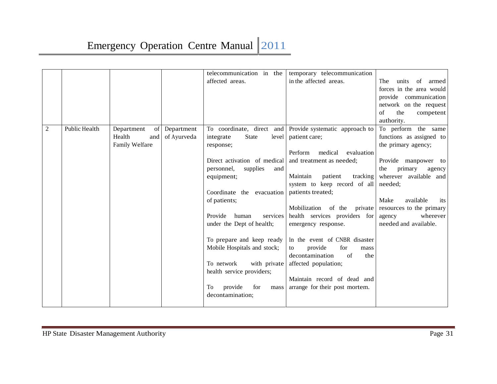|              |               |                  |             | telecommunication in the            | temporary telecommunication                                   |                          |
|--------------|---------------|------------------|-------------|-------------------------------------|---------------------------------------------------------------|--------------------------|
|              |               |                  |             | affected areas.                     | in the affected areas.                                        | The<br>units<br>of armed |
|              |               |                  |             |                                     |                                                               | forces in the area would |
|              |               |                  |             |                                     |                                                               | provide communication    |
|              |               |                  |             |                                     |                                                               | network on the request   |
|              |               |                  |             |                                     |                                                               | of<br>the<br>competent   |
|              |               |                  |             |                                     |                                                               | authority.               |
| $\mathbf{2}$ | Public Health | Department<br>of | Department  | To coordinate, direct<br>and        | Provide systematic approach to                                | To perform the same      |
|              |               | Health<br>and    | of Ayurveda | <b>State</b><br>integrate<br>level  | patient care;                                                 | functions as assigned to |
|              |               | Family Welfare   |             | response;                           |                                                               | the primary agency;      |
|              |               |                  |             |                                     | Perform<br>medical<br>evaluation                              |                          |
|              |               |                  |             | Direct activation of medical        | and treatment as needed;                                      | Provide manpower to      |
|              |               |                  |             | personnel,<br>supplies<br>and       |                                                               | the<br>primary<br>agency |
|              |               |                  |             | equipment;                          | Maintain<br>tracking<br>patient                               | wherever available and   |
|              |               |                  |             |                                     | system to keep record of all                                  | needed:                  |
|              |               |                  |             | Coordinate the evacuation           | patients treated;                                             |                          |
|              |               |                  |             | of patients;                        |                                                               | Make<br>available<br>its |
|              |               |                  |             |                                     | Mobilization of the private                                   | resources to the primary |
|              |               |                  |             | services<br>Provide<br>human        | health services providers for                                 | wherever<br>agency       |
|              |               |                  |             | under the Dept of health;           | emergency response.                                           | needed and available.    |
|              |               |                  |             |                                     |                                                               |                          |
|              |               |                  |             | To prepare and keep ready           | In the event of CNBR disaster                                 |                          |
|              |               |                  |             | Mobile Hospitals and stock;         | for<br>provide<br>to<br>mass<br>decontamination<br>$\sigma$ f |                          |
|              |               |                  |             | with private<br>To network          | the                                                           |                          |
|              |               |                  |             |                                     | affected population;                                          |                          |
|              |               |                  |             | health service providers;           | Maintain record of dead and                                   |                          |
|              |               |                  |             | To<br>for                           |                                                               |                          |
|              |               |                  |             | provide<br>mass<br>decontamination; | arrange for their post mortem.                                |                          |
|              |               |                  |             |                                     |                                                               |                          |
|              |               |                  |             |                                     |                                                               |                          |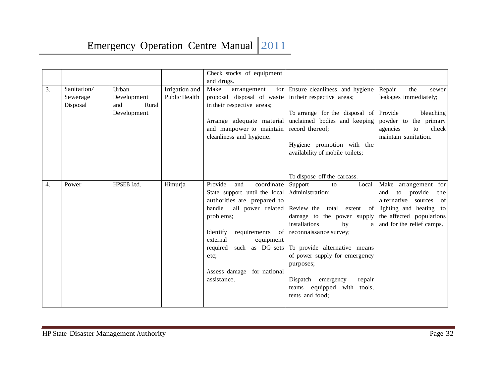|    |                                     |                                                     |                                 | Check stocks of equipment<br>and drugs.                                                                                                                                                                                                                                              |                                                                                                                                                                                                                                                                                                                                                                 |                                                                                                                                                                         |
|----|-------------------------------------|-----------------------------------------------------|---------------------------------|--------------------------------------------------------------------------------------------------------------------------------------------------------------------------------------------------------------------------------------------------------------------------------------|-----------------------------------------------------------------------------------------------------------------------------------------------------------------------------------------------------------------------------------------------------------------------------------------------------------------------------------------------------------------|-------------------------------------------------------------------------------------------------------------------------------------------------------------------------|
| 3. | Sanitation/<br>Sewerage<br>Disposal | Urban<br>Development<br>and<br>Rural<br>Development | Irrigation and<br>Public Health | Make<br>arrangement<br>proposal disposal of waste<br>in their respective areas;<br>Arrange adequate material<br>and manpower to maintain<br>cleanliness and hygiene.                                                                                                                 | for Ensure cleanliness and hygiene<br>in their respective areas;<br>To arrange for the disposal of Provide<br>unclaimed bodies and keeping<br>record thereof;<br>Hygiene promotion with the<br>availability of mobile toilets;                                                                                                                                  | Repair<br>the<br>sewer<br>leakages immediately;<br>bleaching<br>powder to<br>the primary<br>check<br>agencies<br>to<br>maintain sanitation.                             |
| 4. | Power                               | HPSEB Ltd.                                          | Himurja                         | Provide<br>coordinate<br>and<br>State support until the local<br>authorities are prepared to<br>handle<br>all power related<br>problems;<br>requirements of<br>Identify<br>external<br>equipment<br>such as DG sets<br>required<br>etc;<br>Assess damage for national<br>assistance. | To dispose off the carcass.<br>Support<br>Local<br>to<br>Administration;<br>Review the total<br>extent of<br>damage to the power supply<br>installations<br>by<br>a<br>reconnaissance survey;<br>To provide alternative means<br>of power supply for emergency<br>purposes;<br>Dispatch emergency<br>repair<br>equipped with tools,<br>teams<br>tents and food; | Make arrangement for<br>provide<br>the<br>and<br>to<br>alternative sources<br>of<br>lighting and heating<br>to<br>the affected populations<br>and for the relief camps. |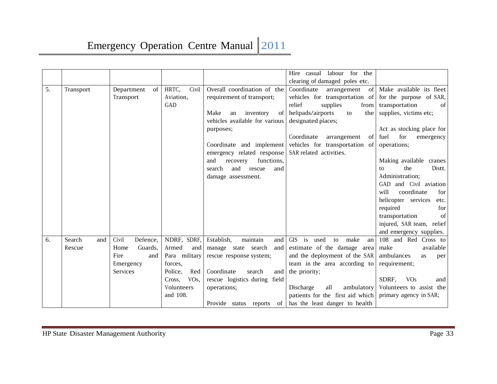|    |               |                                                                                                                                                                     |                                 |                                                                                                                                                                                                                                                                                                          | Hire casual labour for<br>the<br>clearing of damaged poles etc.                                                                                                                                                                                         |                                                                                                                                                                                                                                                                                                                                                                                     |
|----|---------------|---------------------------------------------------------------------------------------------------------------------------------------------------------------------|---------------------------------|----------------------------------------------------------------------------------------------------------------------------------------------------------------------------------------------------------------------------------------------------------------------------------------------------------|---------------------------------------------------------------------------------------------------------------------------------------------------------------------------------------------------------------------------------------------------------|-------------------------------------------------------------------------------------------------------------------------------------------------------------------------------------------------------------------------------------------------------------------------------------------------------------------------------------------------------------------------------------|
| 5. | Transport     | HRTC,<br>Department<br>of<br>Aviation,<br>Transport<br>GAD                                                                                                          | Civil                           | Overall coordination of the<br>requirement of transport;<br>Make<br>inventory<br>of <sub>l</sub><br>an<br>vehicles available for various<br>purposes;<br>Coordinate and implement<br>emergency related response<br>functions,<br>and<br>recovery<br>search<br>and<br>rescue<br>and<br>damage assessment. | Coordinate<br>of<br>arrangement<br>vehicles for transportation of<br>relief<br>supplies<br>from<br>helipads/airports<br>to<br>the<br>designated places;<br>Coordinate<br>arrangement<br>of<br>vehicles for transportation of<br>SAR related activities. | Make available its fleet<br>for the purpose of SAR,<br>transportation<br>of<br>supplies, victims etc;<br>Act as stocking place for<br>for<br>fuel<br>emergency<br>operations;<br>Making available cranes<br>the<br>Distt.<br>tο<br>Administration;<br>GAD and Civil aviation<br>will<br>coordinate<br>for<br>helicopter services<br>etc.<br>required<br>for<br>transportation<br>of |
|    | Search        |                                                                                                                                                                     |                                 | maintain                                                                                                                                                                                                                                                                                                 | GIS is                                                                                                                                                                                                                                                  | injured, SAR team, relief<br>and emergency supplies.<br>108 and Red Cross to                                                                                                                                                                                                                                                                                                        |
| 6. | and<br>Rescue | Civil<br>NDRF, SDRF,<br>Defence,<br>Home<br>Guards,<br>Armed<br>Fire<br>Para military<br>and<br>forces,<br>Emergency<br>Services<br>Police,<br>Cross,<br>Volunteers | and<br>Red<br>VO <sub>s</sub> , | Establish,<br>and<br>manage state search<br>and<br>rescue response system;<br>Coordinate<br>search<br>and<br>rescue logistics during field<br>operations;                                                                                                                                                | make<br>used<br>to<br>an<br>estimate of the damage area<br>and the deployment of the SAR<br>team in the area according to<br>the priority;<br>Discharge<br>all<br>ambulatory                                                                            | available<br>make<br>ambulances<br>as<br>per<br>requirement;<br>SDRF,<br><b>VO<sub>s</sub></b><br>and<br>Volunteers to assist the                                                                                                                                                                                                                                                   |
|    |               | and 108.                                                                                                                                                            |                                 | Provide status reports<br>of                                                                                                                                                                                                                                                                             | patients for the first aid which<br>has the least danger to health                                                                                                                                                                                      | primary agency in SAR;                                                                                                                                                                                                                                                                                                                                                              |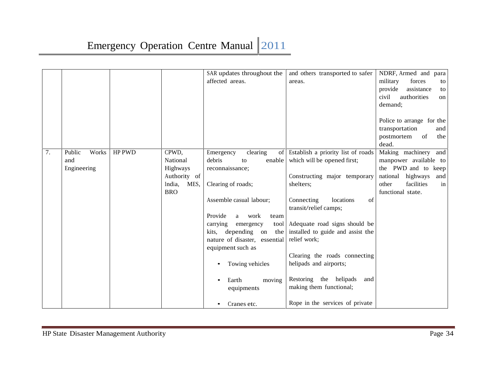|    |                                       |                                                                                         | SAR updates throughout the<br>affected areas.                                                                                                                                                                                                                                                                                                     | and others transported to safer<br>areas.                                                                                                                                                                                                                                                                                                                                             | NDRF, Armed and para<br>military<br>forces<br>to<br>provide<br>assistance<br>to<br>civil<br>authorities<br>on<br>demand;<br>Police to arrange for the    |
|----|---------------------------------------|-----------------------------------------------------------------------------------------|---------------------------------------------------------------------------------------------------------------------------------------------------------------------------------------------------------------------------------------------------------------------------------------------------------------------------------------------------|---------------------------------------------------------------------------------------------------------------------------------------------------------------------------------------------------------------------------------------------------------------------------------------------------------------------------------------------------------------------------------------|----------------------------------------------------------------------------------------------------------------------------------------------------------|
|    |                                       |                                                                                         |                                                                                                                                                                                                                                                                                                                                                   |                                                                                                                                                                                                                                                                                                                                                                                       | transportation<br>and<br>of<br>the<br>postmortem<br>dead.                                                                                                |
| 7. | Works<br>Public<br>and<br>Engineering | HP PWD<br>CPWD,<br>National<br>Highways<br>Authority of<br>India,<br>MES,<br><b>BRO</b> | clearing<br>Emergency<br>of<br>debris<br>enable<br>to<br>reconnaissance;<br>Clearing of roads;<br>Assemble casual labour;<br>Provide<br>work<br>a<br>team<br>carrying<br>tool<br>emergency<br>depending on<br>the<br>kits,<br>nature of disaster, essential<br>equipment such as<br>Towing vehicles<br>$\bullet$<br>Earth<br>moving<br>equipments | Establish a priority list of roads<br>which will be opened first;<br>Constructing major temporary<br>shelters:<br>Connecting<br>locations<br>of<br>transit/relief camps;<br>Adequate road signs should be<br>installed to guide and assist the<br>relief work;<br>Clearing the roads connecting<br>helipads and airports;<br>Restoring the helipads<br>and<br>making them functional; | Making machinery<br>and<br>manpower available to<br>the PWD and to keep<br>national<br>highways<br>and<br>facilities<br>other<br>in<br>functional state. |
|    |                                       |                                                                                         | Cranes etc.                                                                                                                                                                                                                                                                                                                                       | Rope in the services of private                                                                                                                                                                                                                                                                                                                                                       |                                                                                                                                                          |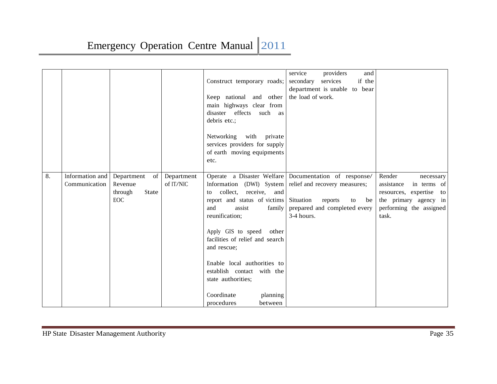|    |                                  |                                                               |                         | Construct temporary roads;<br>Keep national and other<br>main highways clear from<br>disaster effects<br>such<br>as<br>debris etc.;<br>Networking<br>with private<br>services providers for supply<br>of earth moving equipments<br>etc.          | service<br>providers<br>and<br>secondary<br>services<br>if the<br>department is unable to bear<br>the load of work.                                                      |                                                                                                                                          |
|----|----------------------------------|---------------------------------------------------------------|-------------------------|---------------------------------------------------------------------------------------------------------------------------------------------------------------------------------------------------------------------------------------------------|--------------------------------------------------------------------------------------------------------------------------------------------------------------------------|------------------------------------------------------------------------------------------------------------------------------------------|
| 8. | Information and<br>Communication | Department<br>of<br>Revenue<br>State<br>through<br><b>EOC</b> | Department<br>of IT/NIC | Information (DWI) System<br>to collect, receive, and<br>report and status of victims<br>and<br>assist<br>family<br>reunification;<br>Apply GIS to speed<br>other<br>facilities of relief and search<br>and rescue;<br>Enable local authorities to | Operate a Disaster Welfare Documentation of response/<br>relief and recovery measures;<br>Situation<br>reports<br>be<br>to<br>prepared and completed every<br>3-4 hours. | Render<br>necessary<br>assistance<br>in terms of<br>resources, expertise to<br>the primary agency in<br>performing the assigned<br>task. |
|    |                                  |                                                               |                         | establish contact with the<br>state authorities;<br>Coordinate<br>planning<br>procedures<br>between                                                                                                                                               |                                                                                                                                                                          |                                                                                                                                          |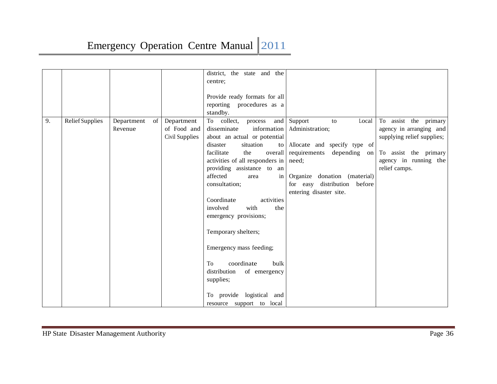|    |                 |                          |                | district, the state and the       |                              |                            |
|----|-----------------|--------------------------|----------------|-----------------------------------|------------------------------|----------------------------|
|    |                 |                          |                | centre;                           |                              |                            |
|    |                 |                          |                |                                   |                              |                            |
|    |                 |                          |                | Provide ready formats for all     |                              |                            |
|    |                 |                          |                | reporting procedures as a         |                              |                            |
|    |                 |                          |                | standby.                          |                              |                            |
| 9. | Relief Supplies | Department<br>$\sigma$ f | Department     | To collect,<br>and<br>process     | Support<br>Local<br>to       | To assist the primary      |
|    |                 | Revenue                  | of Food and    | disseminate<br>information        | Administration;              | agency in arranging and    |
|    |                 |                          | Civil Supplies | about an actual or potential      |                              | supplying relief supplies; |
|    |                 |                          |                | situation<br>disaster<br>to       | Allocate and specify type of |                            |
|    |                 |                          |                | facilitate<br>the<br>overall      | requirements<br>depending on | To assist the primary      |
|    |                 |                          |                | activities of all responders in   | need:                        | agency in running the      |
|    |                 |                          |                | providing assistance to an        |                              | relief camps.              |
|    |                 |                          |                | affected<br>$\frac{1}{2}$<br>area | Organize donation (material) |                            |
|    |                 |                          |                | consultation;                     | for easy distribution before |                            |
|    |                 |                          |                |                                   | entering disaster site.      |                            |
|    |                 |                          |                | activities<br>Coordinate          |                              |                            |
|    |                 |                          |                | involved<br>with<br>the           |                              |                            |
|    |                 |                          |                | emergency provisions;             |                              |                            |
|    |                 |                          |                | Temporary shelters;               |                              |                            |
|    |                 |                          |                |                                   |                              |                            |
|    |                 |                          |                | Emergency mass feeding;           |                              |                            |
|    |                 |                          |                | To<br>coordinate<br>bulk          |                              |                            |
|    |                 |                          |                | distribution<br>of emergency      |                              |                            |
|    |                 |                          |                | supplies;                         |                              |                            |
|    |                 |                          |                |                                   |                              |                            |
|    |                 |                          |                | To provide logistical and         |                              |                            |
|    |                 |                          |                | resource support to local         |                              |                            |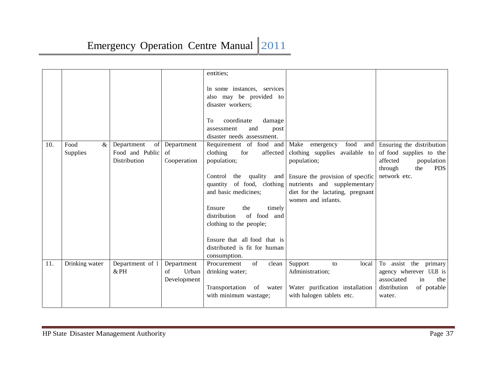|     |                |                 |                     | entities;                    |                                                        |                                                        |
|-----|----------------|-----------------|---------------------|------------------------------|--------------------------------------------------------|--------------------------------------------------------|
|     |                |                 |                     | In some instances, services  |                                                        |                                                        |
|     |                |                 |                     | also may be provided to      |                                                        |                                                        |
|     |                |                 |                     | disaster workers;            |                                                        |                                                        |
|     |                |                 |                     | coordinate<br>To<br>damage   |                                                        |                                                        |
|     |                |                 |                     | and<br>assessment<br>post    |                                                        |                                                        |
|     |                |                 |                     | disaster needs assessment.   |                                                        |                                                        |
| 10. | Food<br>$\&$   | Department      | of Department       | Requirement of food and      | food<br>Make emergency<br>and                          | Ensuring the distribution                              |
|     | Supplies       | Food and Public | $\sigma$ f          | clothing<br>for<br>affected  | clothing supplies available to                         | of food supplies to the                                |
|     |                | Distribution    | Cooperation         | population;                  | population;                                            | affected<br>population<br>the<br><b>PDS</b><br>through |
|     |                |                 |                     | Control the                  | quality and Ensure the provision of specific           | network etc.                                           |
|     |                |                 |                     | quantity of food, clothing   | nutrients and supplementary                            |                                                        |
|     |                |                 |                     | and basic medicines;         | diet for the lactating, pregnant<br>women and infants. |                                                        |
|     |                |                 |                     | Ensure<br>the<br>timely      |                                                        |                                                        |
|     |                |                 |                     | of food and<br>distribution  |                                                        |                                                        |
|     |                |                 |                     | clothing to the people;      |                                                        |                                                        |
|     |                |                 |                     |                              |                                                        |                                                        |
|     |                |                 |                     | Ensure that all food that is |                                                        |                                                        |
|     |                |                 |                     | distributed is fit for human |                                                        |                                                        |
|     |                |                 |                     | consumption.                 |                                                        |                                                        |
| 11. | Drinking water | Department of I | Department          | of<br>clean<br>Procurement   | Support<br>local<br>to                                 | To assist the primary                                  |
|     |                | $&$ PH          | $\sigma$ f<br>Urban | drinking water;              | Administration;                                        | agency wherever ULB is                                 |
|     |                |                 | Development         |                              |                                                        | associated<br>in<br>the                                |
|     |                |                 |                     | Transportation of water      | Water purification installation                        | distribution<br>of potable                             |
|     |                |                 |                     | with minimum wastage;        | with halogen tablets etc.                              | water.                                                 |
|     |                |                 |                     |                              |                                                        |                                                        |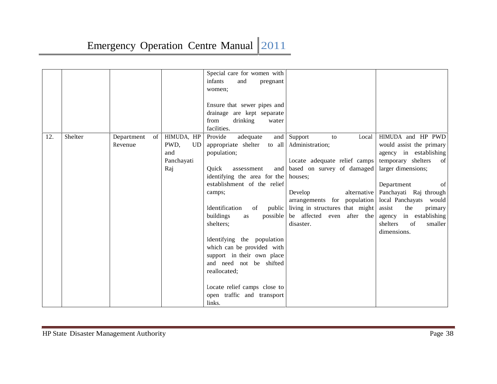|     |         |            |    |                   | Special care for women with   |                                        |                           |
|-----|---------|------------|----|-------------------|-------------------------------|----------------------------------------|---------------------------|
|     |         |            |    |                   | infants<br>and<br>pregnant    |                                        |                           |
|     |         |            |    |                   | women;                        |                                        |                           |
|     |         |            |    |                   |                               |                                        |                           |
|     |         |            |    |                   | Ensure that sewer pipes and   |                                        |                           |
|     |         |            |    |                   | drainage are kept separate    |                                        |                           |
|     |         |            |    |                   | drinking<br>from<br>water     |                                        |                           |
|     |         |            |    |                   | facilities.                   |                                        |                           |
| 12. | Shelter | Department | of | HIMUDA, HP        | Provide<br>adequate           | and Support<br>Local<br>to             | HIMUDA and HP PWD         |
|     |         | Revenue    |    | PWD,<br><b>UD</b> | appropriate shelter           | to all Administration;                 | would assist the primary  |
|     |         |            |    | and               | population;                   |                                        | agency in establishing    |
|     |         |            |    | Panchayati        |                               | Locate adequate relief camps           | temporary shelters<br>of  |
|     |         |            |    | Raj               | Ouick<br>and<br>assessment    | based on survey of damaged             | larger dimensions;        |
|     |         |            |    |                   | identifying the area for the  | houses:                                |                           |
|     |         |            |    |                   | establishment of the relief   |                                        | Department<br>of          |
|     |         |            |    |                   | camps;                        | alternative<br>Develop                 | Panchayati Raj through    |
|     |         |            |    |                   |                               | arrangements for population            | local Panchayats would    |
|     |         |            |    |                   | Identification<br>of          | public living in structures that might | assist<br>the<br>primary  |
|     |         |            |    |                   | buildings<br>possible  <br>as | be affected even after the             | in establishing<br>agency |
|     |         |            |    |                   | shelters;                     | disaster.                              | shelters<br>of<br>smaller |
|     |         |            |    |                   |                               |                                        | dimensions.               |
|     |         |            |    |                   | Identifying the population    |                                        |                           |
|     |         |            |    |                   | which can be provided with    |                                        |                           |
|     |         |            |    |                   | support in their own place    |                                        |                           |
|     |         |            |    |                   | and need not be shifted       |                                        |                           |
|     |         |            |    |                   | reallocated;                  |                                        |                           |
|     |         |            |    |                   |                               |                                        |                           |
|     |         |            |    |                   | Locate relief camps close to  |                                        |                           |
|     |         |            |    |                   | open traffic and transport    |                                        |                           |
|     |         |            |    |                   | links.                        |                                        |                           |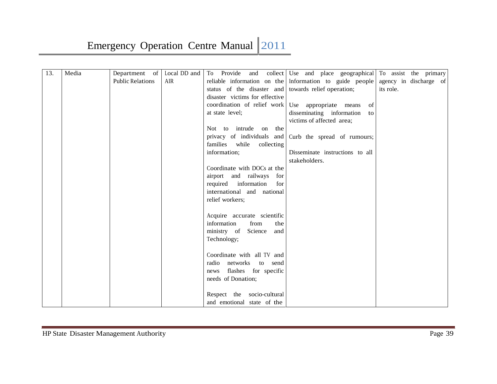| 13. | Media | Department of           | Local DD and | To Provide<br>and                                    | collect Use and place geographical                      | To assist the primary  |  |
|-----|-------|-------------------------|--------------|------------------------------------------------------|---------------------------------------------------------|------------------------|--|
|     |       | <b>Public Relations</b> | <b>AIR</b>   |                                                      | reliable information on the Information to guide people | agency in discharge of |  |
|     |       |                         |              | status of the disaster and towards relief operation; |                                                         | its role.              |  |
|     |       |                         |              | disaster victims for effective                       |                                                         |                        |  |
|     |       |                         |              | coordination of relief work Use appropriate means    | of                                                      |                        |  |
|     |       |                         |              | at state level;                                      | disseminating information<br>to                         |                        |  |
|     |       |                         |              |                                                      | victims of affected area;                               |                        |  |
|     |       |                         |              | Not to intrude on the                                |                                                         |                        |  |
|     |       |                         |              | privacy of individuals and                           | Curb the spread of rumours;                             |                        |  |
|     |       |                         |              | families while<br>collecting                         |                                                         |                        |  |
|     |       |                         |              | information;                                         | Disseminate instructions to all                         |                        |  |
|     |       |                         |              |                                                      | stakeholders.                                           |                        |  |
|     |       |                         |              | Coordinate with DOCs at the                          |                                                         |                        |  |
|     |       |                         |              | airport and railways<br>for                          |                                                         |                        |  |
|     |       |                         |              | required information<br>for                          |                                                         |                        |  |
|     |       |                         |              | international and national                           |                                                         |                        |  |
|     |       |                         |              | relief workers;                                      |                                                         |                        |  |
|     |       |                         |              |                                                      |                                                         |                        |  |
|     |       |                         |              | Acquire accurate scientific                          |                                                         |                        |  |
|     |       |                         |              | information<br>from<br>the                           |                                                         |                        |  |
|     |       |                         |              | ministry of Science<br>and                           |                                                         |                        |  |
|     |       |                         |              | Technology;                                          |                                                         |                        |  |
|     |       |                         |              |                                                      |                                                         |                        |  |
|     |       |                         |              | Coordinate with all TV and                           |                                                         |                        |  |
|     |       |                         |              | radio networks to send                               |                                                         |                        |  |
|     |       |                         |              | flashes for specific<br>news                         |                                                         |                        |  |
|     |       |                         |              | needs of Donation;                                   |                                                         |                        |  |
|     |       |                         |              |                                                      |                                                         |                        |  |
|     |       |                         |              | Respect the socio-cultural                           |                                                         |                        |  |
|     |       |                         |              | and emotional state of the                           |                                                         |                        |  |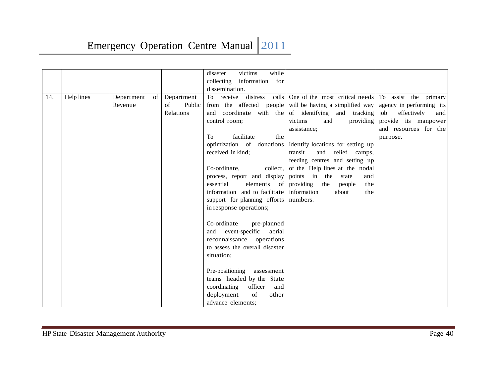|     |            |                  |              | victims<br>while<br>disaster              |                                                            |                           |
|-----|------------|------------------|--------------|-------------------------------------------|------------------------------------------------------------|---------------------------|
|     |            |                  |              | collecting information for                |                                                            |                           |
|     |            |                  |              | dissemination.                            |                                                            |                           |
| 14. | Help lines | of<br>Department | Department   | To receive distress                       | calls One of the most critical needs                       | To assist the primary     |
|     |            | Revenue          | of<br>Public |                                           | from the affected people will be having a simplified way   | agency in performing its  |
|     |            |                  | Relations    |                                           | and coordinate with the of identifying and tracking        | effectively<br>job<br>and |
|     |            |                  |              | control room;                             | victims<br>and<br>providing                                | provide its manpower      |
|     |            |                  |              |                                           | assistance;                                                | and resources for the     |
|     |            |                  |              | To<br>facilitate<br>the                   |                                                            | purpose.                  |
|     |            |                  |              |                                           | optimization of donations dentify locations for setting up |                           |
|     |            |                  |              | received in kind;                         | and<br>relief camps,<br>transit                            |                           |
|     |            |                  |              |                                           | feeding centres and setting up                             |                           |
|     |            |                  |              | Co-ordinate,<br>collect,                  | of the Help lines at the nodal                             |                           |
|     |            |                  |              | process, report and display               | points in the<br>state<br>and                              |                           |
|     |            |                  |              | essential<br>elements of                  | providing<br>the<br>people<br>the                          |                           |
|     |            |                  |              | information and to facilitate information | about<br>the                                               |                           |
|     |            |                  |              | support for planning efforts numbers.     |                                                            |                           |
|     |            |                  |              | in response operations;                   |                                                            |                           |
|     |            |                  |              |                                           |                                                            |                           |
|     |            |                  |              | Co-ordinate<br>pre-planned                |                                                            |                           |
|     |            |                  |              | and event-specific<br>aerial              |                                                            |                           |
|     |            |                  |              | reconnaissance operations                 |                                                            |                           |
|     |            |                  |              | to assess the overall disaster            |                                                            |                           |
|     |            |                  |              | situation;                                |                                                            |                           |
|     |            |                  |              |                                           |                                                            |                           |
|     |            |                  |              | Pre-positioning assessment                |                                                            |                           |
|     |            |                  |              | teams headed by the State                 |                                                            |                           |
|     |            |                  |              | officer<br>coordinating<br>and            |                                                            |                           |
|     |            |                  |              | deployment<br>of<br>other                 |                                                            |                           |
|     |            |                  |              | advance elements;                         |                                                            |                           |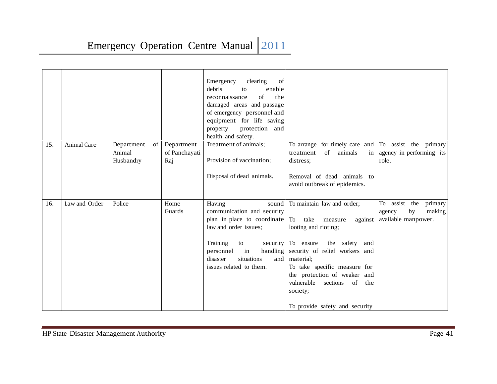| 15. | Animal Care   | Department<br>of    | Department           | clearing<br>Emergency<br>of<br>debris<br>enable<br>to<br>reconnaissance<br>$\sigma$ f<br>the<br>damaged areas and passage<br>of emergency personnel and<br>equipment for life saving<br>property<br>protection and<br>health and safety.<br>Treatment of animals; | To arrange for timely care and                                                                                                                                                                                                                                                                                                  | To assist the primary                                                     |
|-----|---------------|---------------------|----------------------|-------------------------------------------------------------------------------------------------------------------------------------------------------------------------------------------------------------------------------------------------------------------|---------------------------------------------------------------------------------------------------------------------------------------------------------------------------------------------------------------------------------------------------------------------------------------------------------------------------------|---------------------------------------------------------------------------|
|     |               | Animal<br>Husbandry | of Panchayati<br>Raj | Provision of vaccination;<br>Disposal of dead animals.                                                                                                                                                                                                            | of animals<br>treatment<br>in<br>distress:<br>Removal of dead animals to<br>avoid outbreak of epidemics.                                                                                                                                                                                                                        | agency in performing its<br>role.                                         |
| 16. | Law and Order | Police              | Home<br>Guards       | Having<br>sound<br>communication and security<br>plan in place to coordinate<br>law and order issues;<br>Training<br>to<br>handling<br>in<br>personnel<br>disaster<br>situations<br>and<br>issues related to them.                                                | To maintain law and order;<br>To take<br>measure<br>against<br>looting and rioting;<br>security To ensure<br>the safety<br>and<br>security of relief workers and<br>material;<br>To take specific measure for<br>the protection of weaker and<br>vulnerable<br>sections of<br>the<br>society;<br>To provide safety and security | To assist the<br>primary<br>making<br>by<br>agency<br>available manpower. |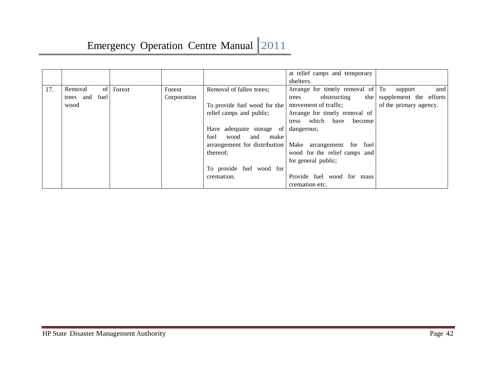|     |                   |        |             |                              | at relief camps and temporary                            |
|-----|-------------------|--------|-------------|------------------------------|----------------------------------------------------------|
|     |                   |        |             |                              | shelters.                                                |
| 17. | of<br>Removal     | Forest | Forest      | Removal of fallen trees;     | Arrange for timely removal of To<br>and<br>support       |
|     | fuel<br>trees and |        | Corporation |                              | obstructing<br>supplement the efforts<br>the<br>trees    |
|     | wood              |        |             | To provide fuel wood for the | of the primary agency.<br>movement of traffic;           |
|     |                   |        |             | relief camps and public;     | Arrange for timely removal of                            |
|     |                   |        |             |                              | which<br>have<br>become<br>tress                         |
|     |                   |        |             | Have adequate storage of     | dangerous;                                               |
|     |                   |        |             | fuel<br>and<br>wood<br>make  |                                                          |
|     |                   |        |             |                              | arrangement for distribution   Make arrangement for fuel |
|     |                   |        |             | thereof;                     | wood for the relief camps and                            |
|     |                   |        |             |                              | for general public;                                      |
|     |                   |        |             | To provide fuel wood for     |                                                          |
|     |                   |        |             | cremation.                   | Provide fuel wood for mass                               |
|     |                   |        |             |                              | cremation etc.                                           |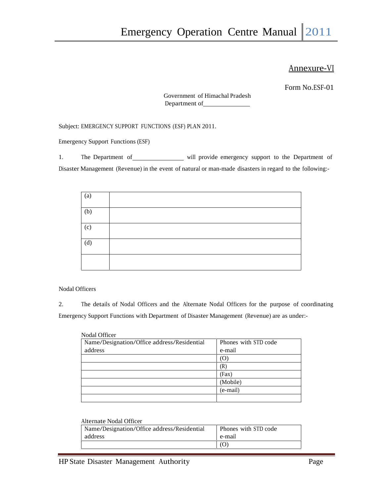### Annexure-VI

Form No.ESF-01

Government of Himachal Pradesh Department of

Subject: EMERGENCY SUPPORT FUNCTIONS (ESF) PLAN 2011.

Emergency Support Functions (ESF)

1. The Department of will provide emergency support to the Department of Disaster Management (Revenue) in the event of natural or man-made disasters in regard to the following:-

| $\left( a\right)$ |  |  |
|-------------------|--|--|
| (b)               |  |  |
| (c)               |  |  |
| (d)               |  |  |
|                   |  |  |

Nodal Officers

2. The details of Nodal Officers and the Alternate Nodal Officers for the purpose of coordinating Emergency Support Functions with Department of Disaster Management (Revenue) are as under:-

| Nodal Officer                               |                      |
|---------------------------------------------|----------------------|
| Name/Designation/Office address/Residential | Phones with STD code |
| address                                     | e-mail               |
|                                             | (O)                  |
|                                             | (R)                  |
|                                             | (Fax)                |
|                                             | (Mobile)             |
|                                             | (e-mail)             |
|                                             |                      |

#### Alternate Nodal Officer

| Name/Designation/Office address/Residential | Phones with STD code |
|---------------------------------------------|----------------------|
| address                                     | e-mail               |
|                                             |                      |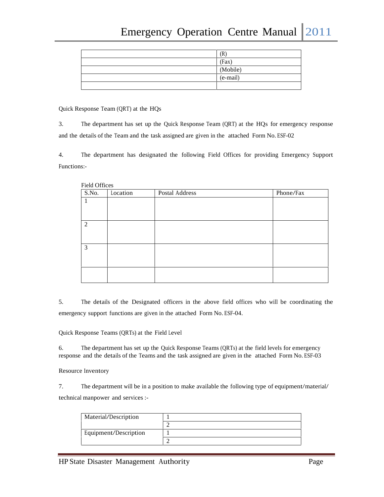| (R       |
|----------|
| (Fax)    |
| (Mobile) |
| (e-mail) |
|          |

Quick Response Team  $(QRT)$  at the HQs

3. The department has set up the Quick Response Team (QRT) at the HQs for emergency response and the details of the Team and the task assigned are given in the attached Form No. ESF-02

4. The department has designated the following Field Offices for providing Emergency Support Functions:-

| <b>Field Offices</b> |          |                |           |
|----------------------|----------|----------------|-----------|
| S.No.                | Location | Postal Address | Phone/Fax |
| 1                    |          |                |           |
|                      |          |                |           |
|                      |          |                |           |
| $\overline{2}$       |          |                |           |
|                      |          |                |           |
|                      |          |                |           |
| 3                    |          |                |           |
|                      |          |                |           |
|                      |          |                |           |
|                      |          |                |           |
|                      |          |                |           |

5. The details of the Designated officers in the above field offices who will be coordinating the emergency support functions are given in the attached Form No. ESF-04.

Quick Response Teams (QRTs) at the Field Level

6. The department has set up the Quick Response Teams (QRTs) at the field levels for emergency response and the details of the Teams and the task assigned are given in the attached Form No. ESF-03

Resource Inventory

7. The department will be in a position to make available the following type of equipment/material/ technical manpower and services :-

| Material/Description  |  |
|-----------------------|--|
|                       |  |
| Equipment/Description |  |
|                       |  |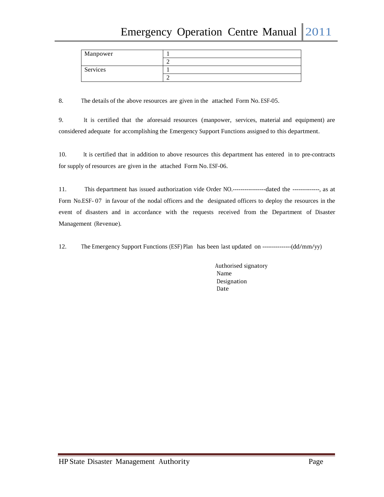| Manpower |  |
|----------|--|
|          |  |
| Services |  |
|          |  |

8. The details of the above resources are given in the attached Form No. ESF-05.

9. It is certified that the aforesaid resources (manpower, services, material and equipment) are considered adequate for accomplishing the Emergency Support Functions assigned to this department.

10. It is certified that in addition to above resources this department has entered in to pre-contracts for supply of resources are given in the attached Form No. ESF-06.

11. This department has issued authorization vide Order NO.-----------------dated the --------------, as at Form No.ESF- 07 in favour of the nodal officers and the designated officers to deploy the resources in the event of disasters and in accordance with the requests received from the Department of Disaster Management (Revenue).

12. The Emergency Support Functions (ESF) Plan has been last updated on ---------------(dd/mm/yy)

Authorised signatory Name Designation Date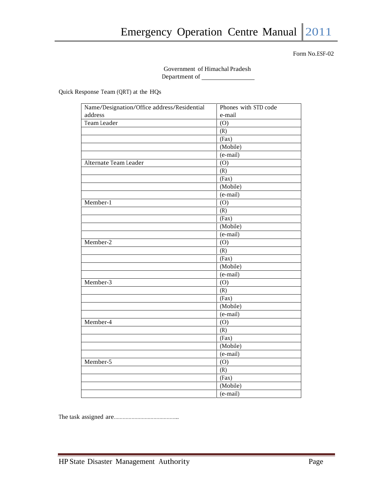Government of Himachal Pradesh Department of

Quick Response Team (QRT) at the HQs

| Name/Designation/Office address/Residential | Phones with STD code |
|---------------------------------------------|----------------------|
| address                                     | e-mail               |
| Team Leader                                 | (O)                  |
|                                             | (R)                  |
|                                             | (Fax)                |
|                                             | (Mobile)             |
|                                             | (e-mail)             |
| Alternate Team Leader                       | (O)                  |
|                                             | (R)                  |
|                                             | (Fax)                |
|                                             | (Mobile)             |
|                                             | (e-mail)             |
| Member-1                                    | (O)                  |
|                                             | (R)                  |
|                                             | (Fax)                |
|                                             | (Mobile)             |
|                                             | (e-mail)             |
| Member-2                                    | (O)                  |
|                                             | (R)                  |
|                                             | (Fax)                |
|                                             | (Mobile)             |
|                                             | (e-mail)             |
| Member-3                                    | (0)                  |
|                                             | (R)                  |
|                                             | (Fax)                |
|                                             | (Mobile)             |
|                                             | (e-mail)             |
| Member-4                                    | (O)                  |
|                                             | (R)                  |
|                                             | (Fax)                |
|                                             | (Mobile)             |
|                                             | (e-mail)             |
| Member-5                                    | (O)                  |
|                                             | (R)                  |
|                                             | (Fax)                |
|                                             | (Mobile)             |
|                                             | (e-mail)             |

The task assigned are……………………………………..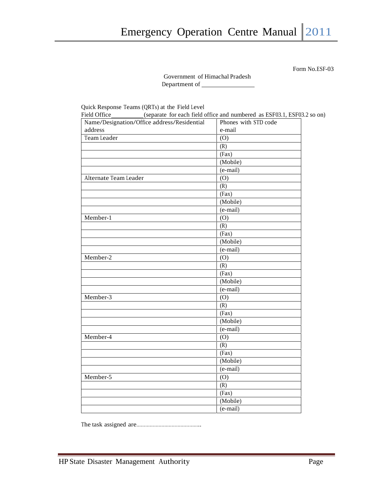Government of Himachal Pradesh Department of

Quick Response Teams (QRTs) at the Field Level

| Field Office_________(separate for each field office and numbered as ESF03.1, ESF03.2 so on)<br>Name/Designation/Office address/Residential | Phones with STD code |
|---------------------------------------------------------------------------------------------------------------------------------------------|----------------------|
| address                                                                                                                                     | e-mail               |
| Team Leader                                                                                                                                 | (O)                  |
|                                                                                                                                             | (R)                  |
|                                                                                                                                             | (Fax)                |
|                                                                                                                                             | (Mobile)             |
|                                                                                                                                             | $(e-mail)$           |
| Alternate Team Leader                                                                                                                       | (O)                  |
|                                                                                                                                             | (R)                  |
|                                                                                                                                             | (Fax)                |
|                                                                                                                                             | (Mobile)             |
|                                                                                                                                             | (e-mail)             |
| Member-1                                                                                                                                    | (O)                  |
|                                                                                                                                             | (R)                  |
|                                                                                                                                             | (Fax)                |
|                                                                                                                                             | (Mobile)             |
|                                                                                                                                             | $(e-mail)$           |
| Member-2                                                                                                                                    | (O)                  |
|                                                                                                                                             | (R)                  |
|                                                                                                                                             | (Fax)                |
|                                                                                                                                             | (Mobile)             |
|                                                                                                                                             | $(e-mail)$           |
| Member-3                                                                                                                                    | (O)                  |
|                                                                                                                                             | (R)                  |
|                                                                                                                                             | (Fax)                |
|                                                                                                                                             | (Mobile)             |
|                                                                                                                                             | (e-mail)             |
| Member-4                                                                                                                                    | (O)                  |
|                                                                                                                                             | (R)                  |
|                                                                                                                                             | (Fax)                |
|                                                                                                                                             | (Mobile)             |
|                                                                                                                                             | (e-mail)             |
| Member-5                                                                                                                                    | (O)                  |
|                                                                                                                                             | (R)                  |
|                                                                                                                                             | (Fax)                |
|                                                                                                                                             | (Mobile)             |
|                                                                                                                                             | (e-mail)             |

The task assigned are……………………………………..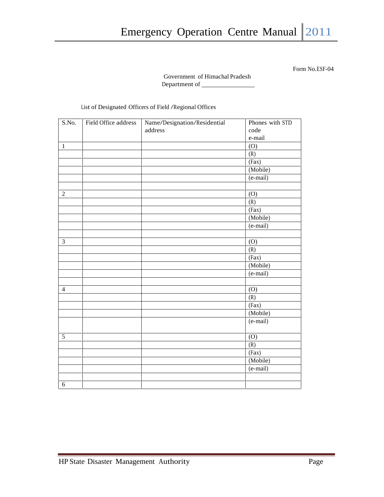#### Government of Himachal Pradesh Department of

List of Designated Officers of Field /Regional Offices

| S.No.<br>$\mathbf{1}$ | Field Office address | Name/Designation/Residential<br>address | Phones with STD<br>code<br>e-mail<br>(O)<br>(R)<br>(Fax) |
|-----------------------|----------------------|-----------------------------------------|----------------------------------------------------------|
|                       |                      |                                         | (Mobile)                                                 |
|                       |                      |                                         | $(e-mail)$                                               |
| $\sqrt{2}$            |                      |                                         | (O)<br>(R)                                               |
|                       |                      |                                         | (Fax)                                                    |
|                       |                      |                                         | (Mobile)                                                 |
|                       |                      |                                         | (e-mail)                                                 |
|                       |                      |                                         |                                                          |
| 3                     |                      |                                         | (0)                                                      |
|                       |                      |                                         | (R)                                                      |
|                       |                      |                                         | (Fax)                                                    |
|                       |                      |                                         | (Mobile)                                                 |
|                       |                      |                                         | (e-mail)                                                 |
|                       |                      |                                         |                                                          |
| $\overline{4}$        |                      |                                         | (0)                                                      |
|                       |                      |                                         | (R)                                                      |
|                       |                      |                                         | (Fax)                                                    |
|                       |                      |                                         | (Mobile)                                                 |
|                       |                      |                                         | (e-mail)                                                 |
| 5                     |                      |                                         | (O)                                                      |
|                       |                      |                                         | (R)                                                      |
|                       |                      |                                         | (Fax)                                                    |
|                       |                      |                                         | (Mobile)                                                 |
|                       |                      |                                         | (e-mail)                                                 |
|                       |                      |                                         |                                                          |
| $\sqrt{6}$            |                      |                                         |                                                          |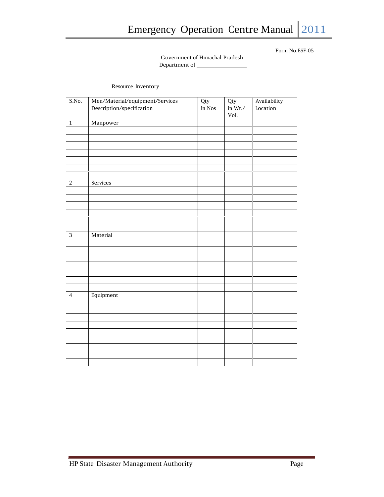#### Government of Himachal Pradesh Department of

#### Resource Inventory

| Description/specification<br>Location<br>in Nos<br>in $Wt$ ./<br>Vol.<br>Manpower<br>Services<br>Material<br>Equipment | S.No.          | Men/Material/equipment/Services | Qty | Qty | Availability |
|------------------------------------------------------------------------------------------------------------------------|----------------|---------------------------------|-----|-----|--------------|
|                                                                                                                        |                |                                 |     |     |              |
|                                                                                                                        | $\mathbf{1}$   |                                 |     |     |              |
|                                                                                                                        |                |                                 |     |     |              |
|                                                                                                                        |                |                                 |     |     |              |
|                                                                                                                        |                |                                 |     |     |              |
|                                                                                                                        |                |                                 |     |     |              |
|                                                                                                                        |                |                                 |     |     |              |
|                                                                                                                        |                |                                 |     |     |              |
|                                                                                                                        | $\sqrt{2}$     |                                 |     |     |              |
|                                                                                                                        |                |                                 |     |     |              |
|                                                                                                                        |                |                                 |     |     |              |
|                                                                                                                        |                |                                 |     |     |              |
|                                                                                                                        |                |                                 |     |     |              |
|                                                                                                                        |                |                                 |     |     |              |
|                                                                                                                        |                |                                 |     |     |              |
|                                                                                                                        | $\overline{3}$ |                                 |     |     |              |
|                                                                                                                        |                |                                 |     |     |              |
|                                                                                                                        |                |                                 |     |     |              |
|                                                                                                                        |                |                                 |     |     |              |
|                                                                                                                        |                |                                 |     |     |              |
|                                                                                                                        |                |                                 |     |     |              |
|                                                                                                                        |                |                                 |     |     |              |
|                                                                                                                        | $\overline{4}$ |                                 |     |     |              |
|                                                                                                                        |                |                                 |     |     |              |
|                                                                                                                        |                |                                 |     |     |              |
|                                                                                                                        |                |                                 |     |     |              |
|                                                                                                                        |                |                                 |     |     |              |
|                                                                                                                        |                |                                 |     |     |              |
|                                                                                                                        |                |                                 |     |     |              |
|                                                                                                                        |                |                                 |     |     |              |
|                                                                                                                        |                |                                 |     |     |              |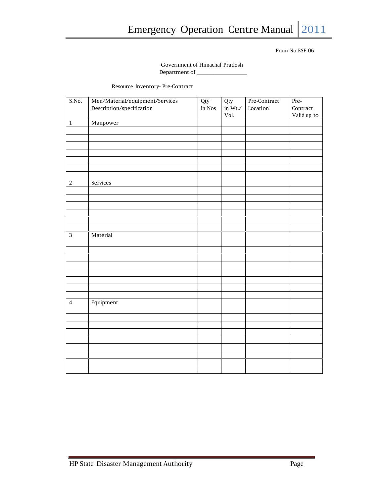Government of Himachal Pradesh Department of

Resource Inventory- Pre-Contract

| S.No.          | Men/Material/equipment/Services<br>Description/specification | Qty<br>in Nos | Qty<br>in Wt./ | Pre-Contract<br>Location | Pre-<br>Contract |
|----------------|--------------------------------------------------------------|---------------|----------------|--------------------------|------------------|
|                |                                                              |               | Vol.           |                          | Valid up to      |
| $\,1\,$        | Manpower                                                     |               |                |                          |                  |
|                |                                                              |               |                |                          |                  |
|                |                                                              |               |                |                          |                  |
|                |                                                              |               |                |                          |                  |
|                |                                                              |               |                |                          |                  |
|                |                                                              |               |                |                          |                  |
|                |                                                              |               |                |                          |                  |
| $\sqrt{2}$     | Services                                                     |               |                |                          |                  |
|                |                                                              |               |                |                          |                  |
|                |                                                              |               |                |                          |                  |
|                |                                                              |               |                |                          |                  |
|                |                                                              |               |                |                          |                  |
|                |                                                              |               |                |                          |                  |
| $\mathfrak{Z}$ | Material                                                     |               |                |                          |                  |
|                |                                                              |               |                |                          |                  |
|                |                                                              |               |                |                          |                  |
|                |                                                              |               |                |                          |                  |
|                |                                                              |               |                |                          |                  |
|                |                                                              |               |                |                          |                  |
|                |                                                              |               |                |                          |                  |
| $\overline{4}$ | Equipment                                                    |               |                |                          |                  |
|                |                                                              |               |                |                          |                  |
|                |                                                              |               |                |                          |                  |
|                |                                                              |               |                |                          |                  |
|                |                                                              |               |                |                          |                  |
|                |                                                              |               |                |                          |                  |
|                |                                                              |               |                |                          |                  |
|                |                                                              |               |                |                          |                  |
|                |                                                              |               |                |                          |                  |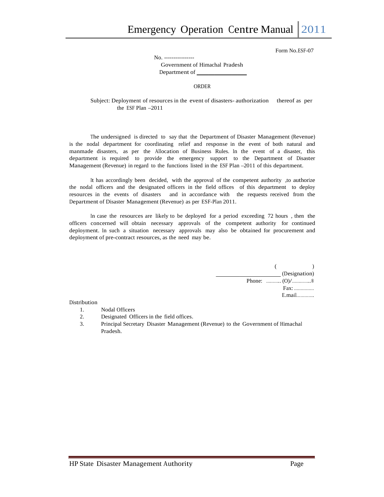No. ----------------

Government of Himachal Pradesh Department of

#### ORDER

#### Subject: Deployment of resources in the event of disasters- authorization thereof as per the ESF Plan –2011

The undersigned is directed to say that the Department of Disaster Management (Revenue) is the nodal department for coordinating relief and response in the event of both natural and manmade disasters, as per the Allocation of Business Rules. In the event of a disaster, this department is required to provide the emergency support to the Department of Disaster Management (Revenue) in regard to the functions listed in the ESF Plan -2011 of this department.

It has accordingly been decided, with the approval of the competent authority ,to authorize the nodal officers and the designated officers in the field offices of this department to deploy resources in the events of disasters and in accordance with the requests received from the Department of Disaster Management (Revenue) as per ESF-Plan 2011.

In case the resources are likely to be deployed for a period exceeding 72 hours , then the officers concerned will obtain necessary approvals of the competent authority for continued deployment. In such a situation necessary approvals may also be obtained for procurement and deployment of pre-contract resources, as the need may be.

| $\sim$ 0.000 $\sim$ |
|---------------------|
| (Designation)       |
|                     |
|                     |
| $E$ mail            |

#### Distribution

- 1. Nodal Officers
- 2. Designated Officers in the field offices.
- 3. Principal Secretary Disaster Management (Revenue) to the Government of Himachal Pradesh.